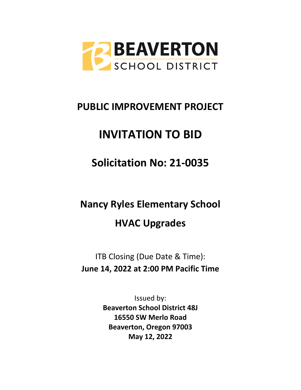

# **PUBLIC IMPROVEMENT PROJECT**

# **INVITATION TO BID**

# **Solicitation No: 21-0035**

# **Nancy Ryles Elementary School HVAC Upgrades**

ITB Closing (Due Date & Time): **June 14, 2022 at 2:00 PM Pacific Time**

> Issued by: **Beaverton School District 48J 16550 SW Merlo Road Beaverton, Oregon 97003 May 12, 2022**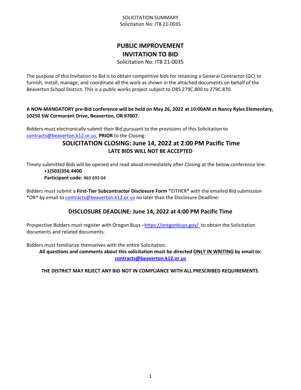#### SOLICITATION SUMMARY Solicitation No: ITB 21-0035

# **PUBLIC IMPROVEMENT INVITATION TO BID**

Solicitation No: ITB 21-0035

The purpose of this Invitation to Bid is to obtain competitive bids for retaining a General Contractor (GC) to furnish, install, manage, and coordinate all the work as shown in the attached documents on behalf of the Beaverton School District. This is a public works project subject to ORS 279C.800 to 279C.870.

#### **A NON-MANDATORY pre-Bid conference will be held on May 26, 2022 at 10:00AM at Nancy Ryles Elementary, 10250 SW Cormorant Drive, Beaverton, OR 97007.**

Bidders must electronically submit their Bid pursuant to the provisions of this Solicitation to [contracts@beaverton.k12.or.us,](mailto:contracts@beaverton.k12.or.us) **PRIOR** to the Closing:

# **SOLICITATION CLOSING: June 14, 2022 at 2:00 PM Pacific Time LATE BIDS WILL NOT BE ACCEPTED**

Timely submitted Bids will be opened and read aloud immediately after Closing at the below conference line: **+1(503)356.4400 Participant code: 463 693 04**

Bidders must submit a **First-Tier Subcontractor Disclosure Form** \*EITHER\* with the emailed Bid submission \*OR\* by email to [contracts@beaverton.k12.or.us](mailto:contracts@beaverton.k12.or.us) no later than the Disclosure Deadline:

## **DISCLOSURE DEADLINE: June 14, 2022 at 4:00 PM Pacific Time**

Prospective Bidders must register with Oregon Buys -<https://oregonbuys.gov/>to obtain the Solicitation documents and related documents.

Bidders must familiarize themselves with the entire Solicitation.

**All questions and comments about this solicitation must be directed ONLY IN WRITING by email to: [contracts@beaverton.k12.or.us](mailto:contracts@beaverton.k12.or.us)**

#### **THE DISTRICT MAY REJECT ANY BID NOT IN COMPLIANCE WITH ALL PRESCRIBED REQUIREMENTS**.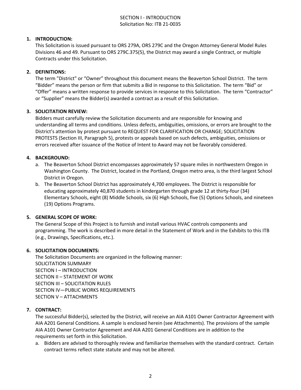#### SECTION I - INTRODUCTION Solicitation No: ITB 21-0035

#### **1. INTRODUCTION:**

This Solicitation is issued pursuant to ORS 279A, ORS 279C and the Oregon Attorney General Model Rules Divisions 46 and 49. Pursuant to ORS 279C.375(5), the District may award a single Contract, or multiple Contracts under this Solicitation.

#### **2. DEFINITIONS:**

The term "District" or "Owner" throughout this document means the Beaverton School District. The term "Bidder" means the person or firm that submits a Bid in response to this Solicitation. The term "Bid" or "Offer" means a written response to provide services in response to this Solicitation. The term "Contractor" or "Supplier" means the Bidder(s) awarded a contract as a result of this Solicitation.

#### **3. SOLICITATION REVIEW:**

Bidders must carefully review the Solicitation documents and are responsible for knowing and understanding all terms and conditions. Unless defects, ambiguities, omissions, or errors are brought to the District's attention by protest pursuant to REQUEST FOR CLARIFICATION OR CHANGE; SOLICITATION PROTESTS (Section III, Paragraph 5), protests or appeals based on such defects, ambiguities, omissions or errors received after issuance of the Notice of Intent to Award may not be favorably considered.

#### **4. BACKGROUND:**

- a. The Beaverton School District encompasses approximately 57 square miles in northwestern Oregon in Washington County. The District, located in the Portland, Oregon metro area, is the third largest School District in Oregon.
- b. The Beaverton School District has approximately 4,700 employees. The District is responsible for educating approximately 40,870 students in kindergarten through grade 12 at thirty-four (34) Elementary Schools, eight (8) Middle Schools, six (6) High Schools, five (5) Options Schools, and nineteen (19) Options Programs.

#### **5. GENERAL SCOPE OF WORK:**

The General Scope of this Project is to furnish and install various HVAC controls components and programming. The work is described in more detail in the Statement of Work and in the Exhibits to this ITB (e.g., Drawings, Specifications, etc.).

#### **6. SOLICITATION DOCUMENTS:**

The Solicitation Documents are organized in the following manner: SOLICITATION SUMMARY SECTION I – INTRODUCTION SECTION II – STATEMENT OF WORK SECTION III – SOLICITATION RULES SECTION IV—PUBLIC WORKS REQUIREMENTS SECTION V – ATTACHMENTS

#### **7. CONTRACT:**

The successful Bidder(s), selected by the District, will receive an AIA A101 Owner Contractor Agreement with AIA A201 General Conditions. A sample is enclosed herein (see Attachments). The provisions of the sample AIA A101 Owner Contractor Agreement and AIA A201 General Conditions are in addition to the requirements set forth in this Solicitation.

a. Bidders are advised to thoroughly review and familiarize themselves with the standard contract. Certain contract terms reflect state statute and may not be altered.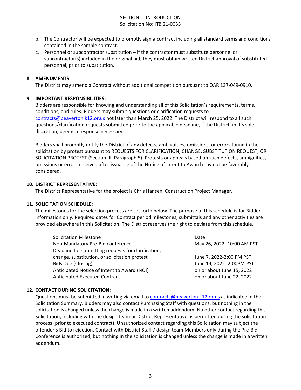#### SECTION I - INTRODUCTION Solicitation No: ITB 21-0035

- b. The Contractor will be expected to promptly sign a contract including all standard terms and conditions contained in the sample contract.
- c. Personnel or subcontractor substitution if the contractor must substitute personnel or subcontractor(s) included in the original bid, they must obtain written District approval of substituted personnel, prior to substitution.

#### **8. AMENDMENTS:**

The District may amend a Contract without additional competition pursuant to OAR 137-049-0910.

#### **9. IMPORTANT RESPONSIBILITIES:**

Bidders are responsible for knowing and understanding all of this Solicitation's requirements, terms, conditions, and rules. Bidders may submit questions or clarification requests to [contracts@beaverton.k12.or.us](mailto:contracts@beaverton.k12.or.us) not later than March 25, 2022. The District will respond to all such questions/clarification requests submitted prior to the applicable deadline, if the District, in it's sole discretion, deems a response necessary.

Bidders shall promptly notify the District of any defects, ambiguities, omissions, or errors found in the solicitation by protest pursuant to REQUESTS FOR CLARIFICATION, CHANGE, SUBSTITUTION REQUEST, OR SOLICITATION PROTEST (Section III, Paragraph 5). Protests or appeals based on such defects, ambiguities, omissions or errors received after issuance of the Notice of Intent to Award may not be favorably considered.

#### **10. DISTRICT REPRESENTATIVE:**

The District Representative for the project is Chris Hansen, Construction Project Manager.

#### **11. SOLICITATION SCHEDULE:**

The milestones for the selection process are set forth below. The purpose of this schedule is for Bidder information only. Required dates for Contract period milestones, submittals and any other activities are provided elsewhere in this Solicitation. The District reserves the right to deviate from this schedule.

| <b>Solicitation Milestone</b>                       | Date                       |
|-----------------------------------------------------|----------------------------|
| Non-Mandatory Pre-Bid conference                    | May 26, 2022 -10:00 AM PST |
| Deadline for submitting requests for clarification, |                            |
| change, substitution, or solicitation protest       | June 7, 2022-2:00 PM PST   |
| Bids Due (Closing):                                 | June 14, 2022 - 2:00PM PST |
| Anticipated Notice of Intent to Award (NOI)         | on or about June 15, 2022  |
| <b>Anticipated Executed Contract</b>                | on or about June 22, 2022  |

#### **12. CONTACT DURING SOLICITATION:**

Questions must be submitted in writing via email to [contracts@beaverton.k12.or.us](mailto:contracts@beaverton.k12.or.us) as indicated in the Solicitation Summary. Bidders may also contact Purchasing Staff with questions, but nothing in the solicitation is changed unless the change is made in a written addendum. No other contact regarding this Solicitation, including with the design team or District Representative, is permitted during the solicitation process (prior to executed contract). Unauthorized contact regarding this Solicitation may subject the offender's Bid to rejection. Contact with District Staff / design team Members only during the Pre-Bid Conference is authorized, but nothing in the solicitation is changed unless the change is made in a written addendum.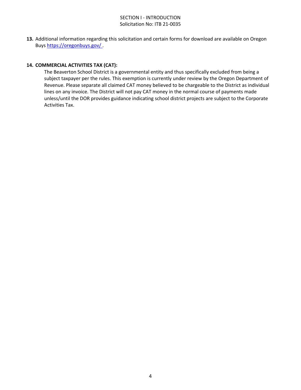#### SECTION I - INTRODUCTION Solicitation No: ITB 21-0035

**13.** Additional information regarding this solicitation and certain forms for download are available on Oregon Buys <https://oregonbuys.gov/> .

#### **14. COMMERCIAL ACTIVITIES TAX (CAT):**

The Beaverton School District is a governmental entity and thus specifically excluded from being a subject taxpayer per the rules. This exemption is currently under review by the Oregon Department of Revenue. Please separate all claimed CAT money believed to be chargeable to the District as individual lines on any invoice. The District will not pay CAT money in the normal course of payments made unless/until the DOR provides guidance indicating school district projects are subject to the Corporate Activities Tax.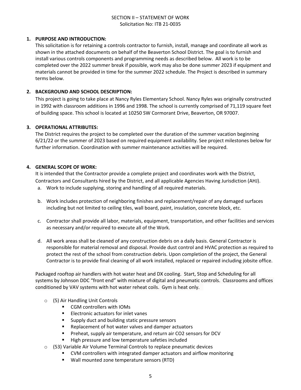#### **1. PURPOSE AND INTRODUCTION:**

This solicitation is for retaining a controls contractor to furnish, install, manage and coordinate all work as shown in the attached documents on behalf of the Beaverton School District. The goal is to furnish and install various controls components and programming needs as described below. All work is to be completed over the 2022 summer break if possible, work may also be done summer 2023 if equipment and materials cannot be provided in time for the summer 2022 schedule. The Project is described in summary terms below.

#### **2. BACKGROUND AND SCHOOL DESCRIPTION:**

This project is going to take place at Nancy Ryles Elementary School. Nancy Ryles was originally constructed in 1992 with classroom additions in 1996 and 1998. The school is currently comprised of 71,119 square feet of building space. This school is located at 10250 SW Cormorant Drive, Beaverton, OR 97007.

#### **3. OPERATIONAL ATTRIBUTES:**

The District requires the project to be completed over the duration of the summer vacation beginning 6/21/22 or the summer of 2023 based on required equipment availability. See project milestones below for further information. Coordination with summer maintenance activities will be required.

#### **4. GENERAL SCOPE OF WORK:**

It is intended that the Contractor provide a complete project and coordinates work with the District, Contractors and Consultants hired by the District, and all applicable Agencies Having Jurisdiction (AHJ).

- a. Work to include supplying, storing and handling of all required materials.
- b. Work includes protection of neighboring finishes and replacement/repair of any damaged surfaces including but not limited to ceiling tiles, wall board, paint, insulation, concrete block, etc.
- c. Contractor shall provide all labor, materials, equipment, transportation, and other facilities and services as necessary and/or required to execute all of the Work.
- d. All work areas shall be cleaned of any construction debris on a daily basis. General Contractor is responsible for material removal and disposal. Provide dust control and HVAC protection as required to protect the rest of the school from construction debris. Upon completion of the project, the General Contractor is to provide final cleaning of all work installed, replaced or repaired including jobsite office.

Packaged rooftop air handlers with hot water heat and DX cooling. Start, Stop and Scheduling for all systems by Johnson DDC "front end" with mixture of digital and pneumatic controls. Classrooms and offices conditioned by VAV systems with hot water reheat coils. Gym is heat only.

- o (5) Air Handling Unit Controls
	- CGM controllers with IOMs
	- **Electronic actuators for inlet vanes**
	- **Supply duct and building static pressure sensors**
	- **Replacement of hot water valves and damper actuators**
	- **Preheat, supply air temperature, and return air CO2 sensors for DCV**
	- High pressure and low temperature safeties included
- o (53) Variable Air Volume Terminal Controls to replace pneumatic devices
	- CVM controllers with integrated damper actuators and airflow monitoring
	- Wall mounted zone temperature sensors (RTD)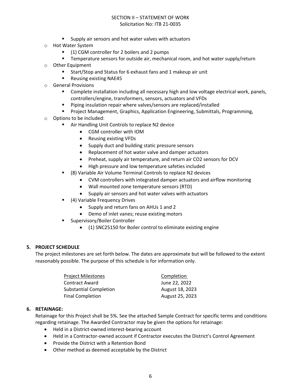- **Supply air sensors and hot water valves with actuators**
- o Hot Water System
	- (1) CGM controller for 2 boilers and 2 pumps
	- **Temperature sensors for outside air, mechanical room, and hot water supply/return**
- o Other Equipment
	- Start/Stop and Status for 6 exhaust fans and 1 makeup air unit
	- **Reusing existing NAE45**
- o General Provisions
	- **Complete installation including all necessary high and low voltage electrical work, panels,** controllers/engine, transformers, sensors, actuators and VFDs
	- **Piping insulation repair where valves/sensors are replaced/installed**
	- **Project Management, Graphics, Application Engineering, Submittals, Programming,**
- o Options to be included:
	- Air Handling Unit Controls to replace N2 device
		- CGM controller with IOM
		- Reusing existing VFDs
		- Supply duct and building static pressure sensors
		- Replacement of hot water valve and damper actuators
		- Preheat, supply air temperature, and return air CO2 sensors for DCV
		- High pressure and low temperature safeties included
	- (8) Variable Air Volume Terminal Controls to replace N2 devices
		- CVM controllers with integrated damper actuators and airflow monitoring
		- Wall mounted zone temperature sensors (RTD)
		- Supply air sensors and hot water valves with actuators
	- (4) Variable Frequency Drives
		- Supply and return fans on AHUs 1 and 2
		- Demo of inlet vanes; reuse existing motors
	- **Supervisory/Boiler Controller** 
		- (1) SNC25150 for Boiler control to eliminate existing engine

#### **5. PROJECT SCHEDULE**

The project milestones are set forth below. The dates are approximate but will be followed to the extent reasonably possible. The purpose of this schedule is for information only.

| Project Milestones            | Completion      |
|-------------------------------|-----------------|
| Contract Award                | June 22, 2022   |
| <b>Substantial Completion</b> | August 18, 2023 |
| <b>Final Completion</b>       | August 25, 2023 |

#### **6. RETAINAGE:**

Retainage for this Project shall be 5%. See the attached Sample Contract for specific terms and conditions regarding retainage. The Awarded Contractor may be given the options for retainage:

- Held in a District-owned interest-bearing account
- Held in a Contractor-owned account if Contractor executes the District's Control Agreement
- Provide the District with a Retention Bond
- Other method as deemed acceptable by the District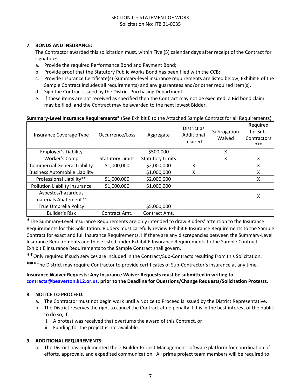#### **7. BONDS AND INSURANCE:**

The Contractor awarded this solicitation must, within Five (5) calendar days after receipt of the Contract for signature:

- a. Provide the required Performance Bond and Payment Bond;
- b. Provide proof that the Statutory Public Works Bond has been filed with the CCB;
- c. Provide Insurance Certificate(s) (summary-level insurance requirements are listed below; Exhibit E of the Sample Contract includes all requirements) and any guarantees and/or other required item(s).
- d. Sign the Contract issued by the District Purchasing Department.
- e. If these items are not received as specified then the Contract may not be executed, a Bid bond claim may be filed, and the Contract may be awarded to the next lowest Bidder.

#### **Summary-Level Insurance Requirements\*** (See Exhibit E to the Attached Sample Contract for all Requirements)

| Insurance Coverage Type              | Occurrence/Loss         | Aggregate               | District as<br>Additional<br>Insured | Subrogation<br>Waived | Required<br>for Sub-<br>Contractors<br>*** |
|--------------------------------------|-------------------------|-------------------------|--------------------------------------|-----------------------|--------------------------------------------|
| Employer's Liability                 |                         | \$500,000               |                                      | X                     |                                            |
| Worker's Comp                        | <b>Statutory Limits</b> | <b>Statutory Limits</b> |                                      | X                     | X                                          |
| <b>Commercial General Liability</b>  | \$1,000,000             | \$2,000,000             | x                                    |                       | x                                          |
| <b>Business Automobile Liability</b> |                         | \$1,000,000             | X                                    |                       | X                                          |
| Professional Liability**             | \$1,000,000             | \$2,000,000             |                                      |                       | X                                          |
| Pollution Liability Insurance        | \$1,000,000             | \$1,000,000             |                                      |                       |                                            |
| Asbestos/hazardous                   |                         |                         |                                      |                       | х                                          |
| materials Abatement**                |                         |                         |                                      |                       |                                            |
| <b>True Umbrella Policy</b>          |                         | \$5,000,000             |                                      |                       |                                            |
| <b>Builder's Risk</b>                | Contract Amt.           | Contract Amt.           |                                      |                       |                                            |

**\***The Summary-Level Insurance Requirements are only intended to draw Bidders' attention to the Insurance Requirements for this Solicitation. Bidders must carefully review Exhibit E Insurance Requirements to the Sample Contract for exact and full Insurance Requirements. I If there are any discrepancies between the Summary-Level Insurance Requirements and those listed under Exhibit E Insurance Requirements to the Sample Contract, Exhibit E Insurance Requirements to the Sample Contract shall govern.

**\*\***Only required if such services are included in the Contract/Sub-Contracts resulting from this Solicitation.

**\*\*\***The District may require Contractor to provide certificates of Sub-Contractor's insurance at any time.

#### **Insurance Waiver Requests: Any Insurance Waiver Requests must be submitted in writing to [contracts@beaverton.k12.or.us,](mailto:contracts@beaverton.k12.or.us) prior to the Deadline for Questions/Change Requests/Solicitation Protests.**

#### **8. NOTICE TO PROCEED:**

- a. The Contractor must not begin work until a Notice to Proceed is issued by the District Representative.
- b. The District reserves the right to cancel the Contract at no penalty if it is in the best interest of the public to do so, if:
	- i. A protest was received that overturns the award of this Contract, or
	- ii. Funding for the project is not available.

#### **9. ADDITIONAL REQUIREMENTS:**

a. The District has implemented the e-Builder Project Management software platform for coordination of efforts, approvals, and expedited communication. All prime project team members will be required to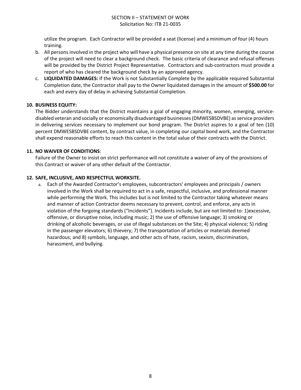utilize the program. Each Contractor will be provided a seat (license) and a minimum of four (4) hours training.

- b. All persons involved in the project who will have a physical presence on site at any time during the course of the project will need to clear a background check. The basic criteria of clearance and refusal offenses will be provided by the District Project Representative. Contractors and sub-contractors must provide a report of who has cleared the background check by an approved agency.
- c. **LIQUIDATED DAMAGES:** If the Work is not Substantially Complete by the applicable required Substantial Completion date, the Contractor shall pay to the Owner liquidated damages in the amount of **\$500.00** for each and every day of delay in achieving Substantial Completion.

#### **10. BUSINESS EQUITY:**

The Bidder understands that the District maintains a goal of engaging minority, women, emerging, servicedisabled veteran and socially or economically disadvantaged businesses (DMWESBSDVBE) as service providers in delivering services necessary to implement our bond program. The District aspires to a goal of ten (10) percent DMWESBSDVBE content, by contract value, in completing our capital bond work, and the Contractor shall expend reasonable efforts to reach this content in the total value of their contracts with the District.

#### **11. NO WAIVER OF CONDITIONS**:

Failure of the Owner to insist on strict performance will not constitute a waiver of any of the provisions of this Contract or waiver of any other default of the Contractor.

#### **12. SAFE, INCLUSIVE, AND RESPECTFUL WORKSITE.**

a. Each of the Awarded Contractor's employees, subcontractors' employees and principals / owners involved in the Work shall be required to act in a safe, respectful, inclusive, and professional manner while performing the Work. This includes but is not limited to the Contractor taking whatever means and manner of action Contractor deems necessary to prevent, control, and enforce, any acts in violation of the forgoing standards ("Incidents"). Incidents include, but are not limited to: 1)excessive, offensive, or disruptive noise, including music; 2) the use of offensive language; 3) smoking or drinking of alcoholic beverages, or use of illegal substances on the Site; 4) physical violence; 5) riding in the passenger elevators; 6) thievery; 7) the transportation of articles or materials deemed hazardous; and 8) symbols, language, and other acts of hate, racism, sexism, discrimination, harassment, and bullying.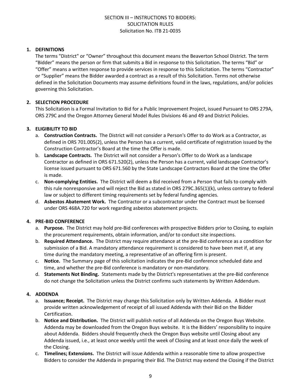#### **1. DEFINITIONS**

The terms "District" or "Owner" throughout this document means the Beaverton School District. The term "Bidder" means the person or firm that submits a Bid in response to this Solicitation. The terms "Bid" or "Offer" means a written response to provide services in response to this Solicitation. The terms "Contractor" or "Supplier" means the Bidder awarded a contract as a result of this Solicitation. Terms not otherwise defined in the Solicitation Documents may assume definitions found in the laws, regulations, and/or policies governing this Solicitation.

#### **2. SELECTION PROCEDURE**

This Solicitation is a Formal Invitation to Bid for a Public Improvement Project, issued Pursuant to ORS 279A, ORS 279C and the Oregon Attorney General Model Rules Divisions 46 and 49 and District Policies.

#### **3. ELIGIBILITY TO BID**

- a. **Construction Contracts.** The District will not consider a Person's Offer to do Work as a Contractor, as defined in ORS 701.005(2), unless the Person has a current, valid certificate of registration issued by the Construction Contractor's Board at the time the Offer is made.
- b. **Landscape Contracts.** The District will not consider a Person's Offer to do Work as a landscape Contractor as defined in ORS 671.520(2), unless the Person has a current, valid landscape Contractor's license issued pursuant to ORS 671.560 by the State Landscape Contractors Board at the time the Offer is made.
- c. **Non-complying Entities.** The District will deem a Bid received from a Person that fails to comply with this rule nonresponsive and will reject the Bid as stated in ORS 279C.365(1)(k), unless contrary to federal law or subject to different timing requirements set by federal funding agencies.
- d. **Asbestos Abatement Work.** The Contractor or a subcontractor under the Contract must be licensed under ORS 468A.720 for work regarding asbestos abatement projects.

#### **4. PRE-BID CONFERENCE**

- a. **Purpose.** The District may hold pre-Bid conferences with prospective Bidders prior to Closing, to explain the procurement requirements, obtain information, and/or to conduct site inspections.
- b. **Required Attendance.** The District may require attendance at the pre-Bid conference as a condition for submission of a Bid. A mandatory attendance requirement is considered to have been met if, at any time during the mandatory meeting, a representative of an offering firm is present.
- c. **Notice.** The Summary page of this solicitation indicates the pre-Bid conference scheduled date and time, and whether the pre-Bid conference is mandatory or non-mandatory.
- d. **Statements Not Binding.** Statements made by the District's representatives at the pre-Bid conference do not change the Solicitation unless the District confirms such statements by Written Addendum.

#### **4. ADDENDA**

- a. **Issuance; Receipt.** The District may change this Solicitation only by Written Addenda. A Bidder must provide written acknowledgement of receipt of all issued Addenda with their Bid on the Bidder Certification.
- b. **Notice and Distribution.** The District will publish notice of all Addenda on the Oregon Buys Website. Addenda may be downloaded from the Oregon Buys website. It is the Bidders' responsibility to inquire about Addenda. Bidders should frequently check the Oregon Buys website until Closing about any Addenda issued, i.e., at least once weekly until the week of Closing and at least once daily the week of the Closing.
- c. **Timelines; Extensions.** The District will issue Addenda within a reasonable time to allow prospective Bidders to consider the Addenda in preparing their Bid. The District may extend the Closing if the District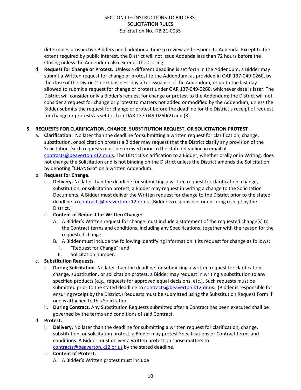determines prospective Bidders need additional time to review and respond to Addenda. Except to the extent required by public interest, the District will not issue Addenda less than 72 hours before the Closing unless the Addendum also extends the Closing.

d. **Request for Change or Protest.** Unless a different deadline is set forth in the Addendum, a Bidder may submit a Written request for change or protest to the Addendum, as provided in OAR 137-049-0260, by the close of the District's next business day after issuance of the Addendum, or up to the last day allowed to submit a request for change or protest under OAR 137-049-0260, whichever date is later. The District will consider only a Bidder's request for change or protest to the Addendum; the District will not consider a request for change or protest to matters not added or modified by the Addendum, unless the Bidder submits the request for change or protest before the deadline for the District's receipt of request for change or protests as set forth in OAR 137-049-0260(2) and (3).

#### **5. REQUESTS FOR CLARIFICATION, CHANGE, SUBSTITUTION REQUEST, OR SOLICITATION PROTEST**

a. **Clarification.** No later than the deadline for submitting a written request for clarification, change, substitution, or solicitation protest a Bidder may request that the District clarify any provision of the Solicitation. Such requests must be received prior to the stated deadline in email at [contracts@beaverton.k12.or.us.](mailto:contracts@beaverton.k12.or.us) The District's clarification to a Bidder, whether orally or in Writing, does not change the Solicitation and is not binding on the District unless the District amends the Solicitation by denoting "CHANGES" on a written Addendum.

#### b. **Request for Change.**

i. **Delivery.** No later than the deadline for submitting a written request for clarification, change, substitution, or solicitation protest, a Bidder may request in writing a change to the Solicitation Documents. A Bidder must deliver the Written request for change to the District prior to the stated deadline to [contracts@beaverton.k12.or.us.](mailto:contracts@beaverton.k12.or.us) (Bidder is responsible for ensuring receipt by the District.)

#### ii. **Content of Request for Written Change:**

- A. A Bidder's Written request for change must include a statement of the requested change(s) to the Contract terms and conditions, including any Specifications, together with the reason for the requested change.
- B. A Bidder must include the following identifying information it its request for change as follows:
	- I. "Request for Change"; and
	- II. Solicitation number.

#### c. **Substitution Requests.**

- i. **During Solicitation.** No later than the deadline for submitting a written request for clarification, change, substitution, or solicitation protest, a Bidder may request in writing a substitution to any specified products (e.g., requests for approved equal decisions, etc.). Such requests must be submitted prior to the stated deadline to [contracts@beaverton.k12.or.us](mailto:contracts@beaverton.k12.or.us). (Bidder is responsible for ensuring receipt by the District.) Requests must be submitted using the Substitution Request Form if one is attached to this Solicitation.
- ii. **During Contract.** Any Substitution Requests submitted after a Contract has been executed shall be governed by the terms and conditions of said Contract.

#### d. **Protest.**

i. **Delivery.** No later than the deadline for submitting a written request for clarification, change, substitution, or solicitation protest, a Bidder may protest Specifications or Contract terms and conditions. A Bidder must deliver a written protest on those matters to [contracts@beaverton.k12.or.us](mailto:contracts@beaverton.k12.or.us) by the stated deadline.

#### ii. **Content of Protest.**

A. A Bidder's Written protest must include: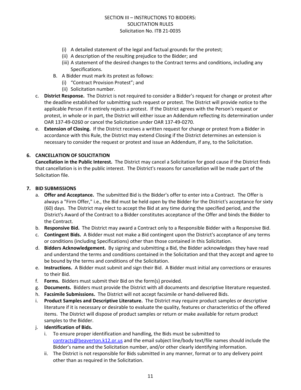- (i) A detailed statement of the legal and factual grounds for the protest;
- (ii) A description of the resulting prejudice to the Bidder; and
- (iii) A statement of the desired changes to the Contract terms and conditions, including any Specifications.
- B. A Bidder must mark its protest as follows:
	- (i) "Contract Provision Protest"; and
	- (ii) Solicitation number.
- c. **District Response.** The District is not required to consider a Bidder's request for change or protest after the deadline established for submitting such request or protest. The District will provide notice to the applicable Person if it entirely rejects a protest. If the District agrees with the Person's request or protest, in whole or in part, the District will either issue an Addendum reflecting its determination under OAR 137-49-0260 or cancel the Solicitation under OAR 137-49-0270.
- e. **Extension of Closing.** If the District receives a written request for change or protest from a Bidder in accordance with this Rule, the District may extend Closing if the District determines an extension is necessary to consider the request or protest and issue an Addendum, if any, to the Solicitation.

#### **6. CANCELLATION OF SOLICITATION**

**Cancellation in the Public Interest.** The District may cancel a Solicitation for good cause if the District finds that cancellation is in the public interest. The District's reasons for cancellation will be made part of the Solicitation file.

#### **7. BID SUBMISSIONS**

- a. **Offer and Acceptance.** The submitted Bid is the Bidder's offer to enter into a Contract. The Offer is always a "Firm Offer," i.e., the Bid must be held open by the Bidder for the District's acceptance for sixty (60) days. The District may elect to accept the Bid at any time during the specified period, and the District's Award of the Contract to a Bidder constitutes acceptance of the Offer and binds the Bidder to the Contract.
- b. **Responsive Bid.** The District may award a Contract only to a Responsible Bidder with a Responsive Bid.
- c. **Contingent Bids.** A Bidder must not make a Bid contingent upon the District's acceptance of any terms or conditions (including Specifications) other than those contained in this Solicitation.
- d. **Bidders Acknowledgement.** By signing and submitting a Bid, the Bidder acknowledges they have read and understand the terms and conditions contained in the Solicitation and that they accept and agree to be bound by the terms and conditions of the Solicitation.
- e. **Instructions.** A Bidder must submit and sign their Bid. A Bidder must initial any corrections or erasures to their Bid.
- f. **Forms.** Bidders must submit their Bid on the form(s) provided.
- g. **Documents.** Bidders must provide the District with all documents and descriptive literature requested.
- h. **Facsimile Submissions.** The District will not accept facsimile or hand-delivered Bids.
- i. **Product Samples and Descriptive Literature.** The District may require product samples or descriptive literature if it is necessary or desirable to evaluate the quality, features or characteristics of the offered items. The District will dispose of product samples or return or make available for return product samples to the Bidder.
- j. **Identification of Bids.**
	- i. To ensure proper identification and handling, the Bids must be submitted to [contracts@beaverton.k12.or.us](mailto:contracts@beaverton.k12.or.us) and the email subject line/body text/file names should include the Bidder's name and the Solicitation number, and/or other clearly identifying information.
	- ii. The District is not responsible for Bids submitted in any manner, format or to any delivery point other than as required in the Solicitation.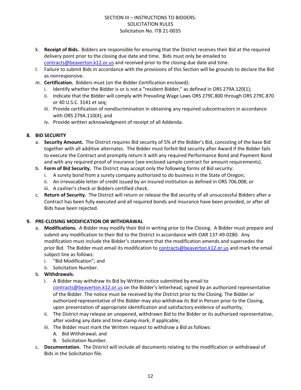- k. **Receipt of Bids.** Bidders are responsible for ensuring that the District receives their Bid at the required delivery point prior to the closing due date and time. Bids must only be emailed to [contracts@beaverton.k12.or.us](mailto:contracts@beaverton.k12.or.us) and received prior to the closing due date and time.
- l. Failure to submit Bids in accordance with the provisions of this Section will be grounds to declare the Bid as nonresponsive.
- m. **Certification.** Bidders must (on the Bidder Certification enclosed):
	- i. Identify whether the Bidder is or is not a "resident Bidder," as defined in ORS 279A.120(1);
	- ii. Indicate that the Bidder will comply with Prevailing Wage Laws ORS 279C.800 through ORS 279C.870 or 40 U.S.C. 3141 et seq;
	- iii. Provide certification of nondiscrimination in obtaining any required subcontractors in accordance with ORS 279A.110(4); and
	- iv. Provide written acknowledgment of receipt of all Addenda.

#### **8. BID SECURITY**

- a. **Security Amount.** The District requires Bid security of 5% of the Bidder's Bid, consisting of the base Bid together with all additive alternates. The Bidder must forfeit Bid security after Award if the Bidder fails to execute the Contract and promptly return it with any required Performance Bond and Payment Bond and with any required proof of insurance (see enclosed sample contract for amount requirements).
- b. **Form of Bid Security.** The District may accept only the following forms of Bid security:
	- i. A surety bond from a surety company authorized to do business in the State of Oregon;
	- ii. An irrevocable letter of credit issued by an insured institution as defined in ORS 706.008; or
	- iii. A cashier's check or Bidders certified check.
- c. **Return of Security.** The District will return or release the Bid security of all unsuccessful Bidders after a Contract has been fully executed and all required bonds and insurance have been provided, or after all Bids have been rejected.

#### **9. PRE-CLOSING MODIFICATION OR WITHDRAWAL**

- a. **Modifications.** A Bidder may modify their Bid in writing prior to the Closing. A Bidder must prepare and submit any modification to their Bid to the District in accordance with OAR 137-49-0280. Any modification must include the Bidder's statement that the modification amends and supersedes the prior Bid. The Bidder must email its modification to [contracts@beaverton.k12.or.us](mailto:contracts@beaverton.k12.or.us) and mark the email subject line as follows:
	- i. "Bid Modification"; and
	- ii. Solicitation Number.
- b. **Withdrawals.**
	- i. A Bidder may withdraw its Bid by Written notice submitted by email to [contracts@beaverton.k12.or.us](mailto:contracts@beaverton.k12.or.us) on the Bidder's letterhead, signed by an authorized representative of the Bidder. The notice must be received by the District prior to the Closing. The Bidder or authorized representative of the Bidder may also withdraw its Bid in Person prior to the Closing, upon presentation of appropriate identification and satisfactory evidence of authority;
	- ii. The District may release an unopened, withdrawn Bid to the Bidder or its authorized representative, after voiding any date and time stamp mark, if applicable;
	- iii. The Bidder must mark the Written request to withdraw a Bid as follows:
		- A. Bid Withdrawal; and
		- B. Solicitation Number.
- c. **Documentation.** The District will include all documents relating to the modification or withdrawal of Bids in the Solicitation file.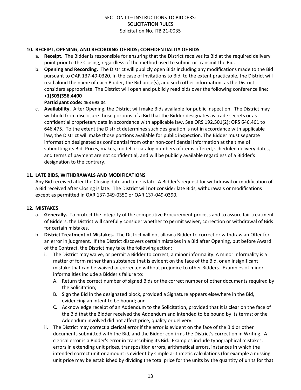#### **10. RECEIPT, OPENING, AND RECORDING OF BIDS; CONFIDENTIALITY OF BIDS**

- a. **Receipt.** The Bidder is responsible for ensuring that the District receives its Bid at the required delivery point prior to the Closing, regardless of the method used to submit or transmit the Bid.
- b. **Opening and Recording.** The District will publicly open Bids including any modifications made to the Bid pursuant to OAR 137-49-0320. In the case of Invitations to Bid, to the extent practicable, the District will read aloud the name of each Bidder, the Bid price(s), and such other information, as the District considers appropriate. The District will open and publicly read bids over the following conference line: **+1(503)356.4400**

#### **Participant code: 463 693 04**

c. **Availability.** After Opening, the District will make Bids available for public inspection. The District may withhold from disclosure those portions of a Bid that the Bidder designates as trade secrets or as confidential proprietary data in accordance with applicable law. See ORS 192.501(2); ORS 646.461 to 646.475. To the extent the District determines such designation is not in accordance with applicable law, the District will make those portions available for public inspection. The Bidder must separate information designated as confidential from other non-confidential information at the time of submitting its Bid. Prices, makes, model or catalog numbers of items offered, scheduled delivery dates, and terms of payment are not confidential, and will be publicly available regardless of a Bidder's designation to the contrary.

#### **11. LATE BIDS, WITHDRAWALS AND MODIFICATIONS**

Any Bid received after the Closing date and time is late. A Bidder's request for withdrawal or modification of a Bid received after Closing is late. The District will not consider late Bids, withdrawals or modifications except as permitted in OAR 137-049-0350 or OAR 137-049-0390.

#### **12. MISTAKES**

- a. **Generally.** To protect the integrity of the competitive Procurement process and to assure fair treatment of Bidders, the District will carefully consider whether to permit waiver, correction or withdrawal of Bids for certain mistakes.
- b. **District Treatment of Mistakes.** The District will not allow a Bidder to correct or withdraw an Offer for an error in judgment. If the District discovers certain mistakes in a Bid after Opening, but before Award of the Contract, the District may take the following action:
	- i. The District may waive, or permit a Bidder to correct, a minor informality. A minor informality is a matter of form rather than substance that is evident on the face of the Bid, or an insignificant mistake that can be waived or corrected without prejudice to other Bidders. Examples of minor informalities include a Bidder's failure to:
		- A. Return the correct number of signed Bids or the correct number of other documents required by the Solicitation;
		- B. Sign the Bid in the designated block, provided a Signature appears elsewhere in the Bid, evidencing an intent to be bound; and
		- C. Acknowledge receipt of an Addendum to the Solicitation, provided that it is clear on the face of the Bid that the Bidder received the Addendum and intended to be bound by its terms; or the Addendum involved did not affect price, quality or delivery.
	- ii. The District may correct a clerical error if the error is evident on the face of the Bid or other documents submitted with the Bid, and the Bidder confirms the District's correction in Writing. A clerical error is a Bidder's error in transcribing its Bid. Examples include typographical mistakes, errors in extending unit prices, transposition errors, arithmetical errors, instances in which the intended correct unit or amount is evident by simple arithmetic calculations (for example a missing unit price may be established by dividing the total price for the units by the quantity of units for that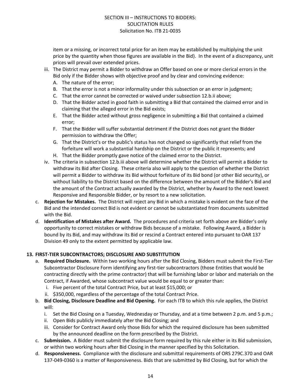item or a missing, or incorrect total price for an item may be established by multiplying the unit price by the quantity when those figures are available in the Bid). In the event of a discrepancy, unit prices will prevail over extended prices.

- iii. The District may permit a Bidder to withdraw an Offer based on one or more clerical errors in the Bid only if the Bidder shows with objective proof and by clear and convincing evidence:
	- A. The nature of the error;
	- B. That the error is not a minor informality under this subsection or an error in judgment;
	- C. That the error cannot be corrected or waived under subsection 12.b.ii above;
	- D. That the Bidder acted in good faith in submitting a Bid that contained the claimed error and in claiming that the alleged error in the Bid exists;
	- E. That the Bidder acted without gross negligence in submitting a Bid that contained a claimed error;
	- F. That the Bidder will suffer substantial detriment if the District does not grant the Bidder permission to withdraw the Offer;
	- G. That the District's or the public's status has not changed so significantly that relief from the forfeiture will work a substantial hardship on the District or the public it represents; and
	- H. That the Bidder promptly gave notice of the claimed error to the District.
- iv. The criteria in subsection 12.b.iii above will determine whether the District will permit a Bidder to withdraw its Bid after Closing. These criteria also will apply to the question of whether the District will permit a Bidder to withdraw its Bid without forfeiture of its Bid bond (or other Bid security), or without liability to the District based on the difference between the amount of the Bidder's Bid and the amount of the Contract actually awarded by the District, whether by Award to the next lowest Responsive and Responsible Bidder, or by resort to a new solicitation.
- c. **Rejection for Mistakes.** The District will reject any Bid in which a mistake is evident on the face of the Bid and the intended correct Bid is not evident or cannot be substantiated from documents submitted with the Bid.
- d. **Identification of Mistakes after Award.** The procedures and criteria set forth above are Bidder's only opportunity to correct mistakes or withdraw Bids because of a mistake. Following Award, a Bidder is bound by its Bid, and may withdraw its Bid or rescind a Contract entered into pursuant to OAR 137 Division 49 only to the extent permitted by applicable law.

#### **13. FIRST-TIER SUBCONTRACTORS; DISCLOSURE AND SUBSTITUTION**

- a. **Required Disclosure.** Within two working hours after the Bid Closing, Bidders must submit the First-Tier Subcontractor Disclosure Form identifying any first-tier subcontractors (those Entities that would be contracting directly with the prime contractor) that will be furnishing labor or labor and materials on the Contract, if Awarded, whose subcontract value would be equal to or greater than:
	- i. Five percent of the total Contract Price, but at least \$15,000; or
	- ii. \$350,000, regardless of the percentage of the total Contract Price.
- b. **Bid Closing, Disclosure Deadline and Bid Opening.** For each ITB to which this rule applies, the District will:
	- i. Set the Bid Closing on a Tuesday, Wednesday or Thursday, and at a time between 2 p.m. and 5 p.m.;
	- ii. Open Bids publicly immediately after the Bid Closing; and
	- iii. Consider for Contract Award only those Bids for which the required disclosure has been submitted by the announced deadline on the form prescribed by the District.
- c. **Submission.** A Bidder must submit the disclosure form required by this rule either in its Bid submission, or within two working hours after Bid Closing in the manner specified by this Solicitation.
- d. **Responsiveness.** Compliance with the disclosure and submittal requirements of ORS 279C.370 and OAR 137-049-0360 is a matter of Responsiveness. Bids that are submitted by Bid Closing, but for which the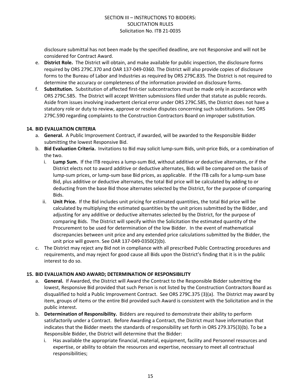disclosure submittal has not been made by the specified deadline, are not Responsive and will not be considered for Contract Award.

- e. **District Role.** The District will obtain, and make available for public inspection, the disclosure forms required by ORS 279C.370 and OAR 137-049-0360. The District will also provide copies of disclosure forms to the Bureau of Labor and Industries as required by ORS 279C.835. The District is not required to determine the accuracy or completeness of the information provided on disclosure forms.
- f. **Substitution.** Substitution of affected first-tier subcontractors must be made only in accordance with ORS 279C.585. The District will accept Written submissions filed under that statute as public records. Aside from issues involving inadvertent clerical error under ORS 279C.585, the District does not have a statutory role or duty to review, approve or resolve disputes concerning such substitutions. See ORS 279C.590 regarding complaints to the Construction Contractors Board on improper substitution.

#### **14. BID EVALUATION CRITERIA**

- a. **General.** A Public Improvement Contract, if awarded, will be awarded to the Responsible Bidder submitting the lowest Responsive Bid.
- b. **Bid Evaluation Criteria.** Invitations to Bid may solicit lump-sum Bids, unit-price Bids, or a combination of the two.
	- i. **Lump Sum.** If the ITB requires a lump-sum Bid, without additive or deductive alternates, or if the District elects not to award additive or deductive alternates, Bids will be compared on the basis of lump-sum prices, or lump-sum base Bid prices, as applicable. If the ITB calls for a lump-sum base Bid, plus additive or deductive alternates, the total Bid price will be calculated by adding to or deducting from the base Bid those alternates selected by the District, for the purpose of comparing Bids.
	- ii. **Unit Price.** If the Bid includes unit pricing for estimated quantities, the total Bid price will be calculated by multiplying the estimated quantities by the unit prices submitted by the Bidder, and adjusting for any additive or deductive alternates selected by the District, for the purpose of comparing Bids. The District will specify within the Solicitation the estimated quantity of the Procurement to be used for determination of the low Bidder. In the event of mathematical discrepancies between unit price and any extended price calculations submitted by the Bidder, the unit price will govern. See OAR 137-049-0350(2)(b).
- c. The District may reject any Bid not in compliance with all prescribed Public Contracting procedures and requirements, and may reject for good cause all Bids upon the District's finding that it is in the public interest to do so.

#### **15. BID EVALUATION AND AWARD; DETERMINATION OF RESPONSIBILITY**

- a. **General.** If Awarded, the District will Award the Contract to the Responsible Bidder submitting the lowest, Responsive Bid provided that such Person is not listed by the Construction Contractors Board as disqualified to hold a Public Improvement Contract. See ORS 279C.375 (3)(a). The District may award by item, groups of items or the entire Bid provided such Award is consistent with the Solicitation and in the public interest.
- b. **Determination of Responsibility.** Bidders are required to demonstrate their ability to perform satisfactorily under a Contract. Before Awarding a Contract, the District must have information that indicates that the Bidder meets the standards of responsibility set forth in ORS 279.375(3)(b). To be a Responsible Bidder, the District will determine that the Bidder:
	- i. Has available the appropriate financial, material, equipment, facility and Personnel resources and expertise, or ability to obtain the resources and expertise, necessary to meet all contractual responsibilities;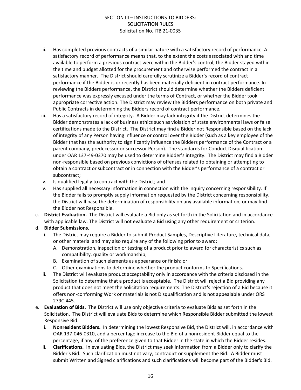- ii. Has completed previous contracts of a similar nature with a satisfactory record of performance. A satisfactory record of performance means that, to the extent the costs associated with and time available to perform a previous contract were within the Bidder's control, the Bidder stayed within the time and budget allotted for the procurement and otherwise performed the contract in a satisfactory manner. The District should carefully scrutinize a Bidder's record of contract performance if the Bidder is or recently has been materially deficient in contract performance. In reviewing the Bidders performance, the District should determine whether the Bidders deficient performance was expressly excused under the terms of Contract, or whether the Bidder took appropriate corrective action. The District may review the Bidders performance on both private and Public Contracts in determining the Bidders record of contract performance.
- iii. Has a satisfactory record of integrity. A Bidder may lack integrity if the District determines the Bidder demonstrates a lack of business ethics such as violation of state environmental laws or false certifications made to the District. The District may find a Bidder not Responsible based on the lack of integrity of any Person having influence or control over the Bidder (such as a key employee of the Bidder that has the authority to significantly influence the Bidders performance of the Contract or a parent company, predecessor or successor Person). The standards for Conduct Disqualification under OAR 137-49-0370 may be used to determine Bidder's integrity. The District may find a Bidder non-responsible based on previous convictions of offenses related to obtaining or attempting to obtain a contract or subcontract or in connection with the Bidder's performance of a contract or subcontract;
- iv. Is qualified legally to contract with the District; and
- v. Has supplied all necessary information in connection with the inquiry concerning responsibility. If the Bidder fails to promptly supply information requested by the District concerning responsibility, the District will base the determination of responsibility on any available information, or may find the Bidder not Responsible.
- c. **District Evaluation.** The District will evaluate a Bid only as set forth in the Solicitation and in accordance with applicable law. The District will not evaluate a Bid using any other requirement or criterion.

#### d. **Bidder Submissions.**

- i. The District may require a Bidder to submit Product Samples, Descriptive Literature, technical data, or other material and may also require any of the following prior to award:
	- A. Demonstration, inspection or testing of a product prior to award for characteristics such as compatibility, quality or workmanship;
	- B. Examination of such elements as appearance or finish; or
	- C. Other examinations to determine whether the product conforms to Specifications.
- ii. The District will evaluate product acceptability only in accordance with the criteria disclosed in the Solicitation to determine that a product is acceptable. The District will reject a Bid providing any product that does not meet the Solicitation requirements. The District's rejection of a Bid because it offers non-conforming Work or materials is not Disqualification and is not appealable under ORS 279C.445.
- e. **Evaluation of Bids.** The District will use only objective criteria to evaluate Bids as set forth in the Solicitation. The District will evaluate Bids to determine which Responsible Bidder submitted the lowest Responsive Bid.
	- i. **Nonresident Bidders.** In determining the lowest Responsive Bid, the District will, in accordance with OAR 137-046-0310, add a percentage increase to the Bid of a nonresident Bidder equal to the percentage, if any, of the preference given to that Bidder in the state in which the Bidder resides.
	- ii. **Clarifications.** In evaluating Bids, the District may seek information from a Bidder only to clarify the Bidder's Bid. Such clarification must not vary, contradict or supplement the Bid. A Bidder must submit Written and Signed clarifications and such clarifications will become part of the Bidder's Bid.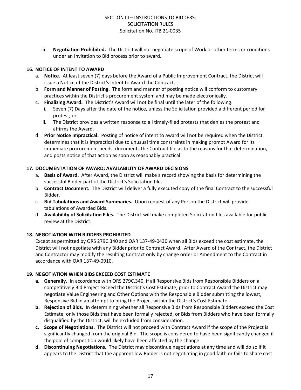iii. **Negotiation Prohibited.** The District will not negotiate scope of Work or other terms or conditions under an Invitation to Bid process prior to award.

#### **16. NOTICE OF INTENT TO AWARD**

- a. **Notice.** At least seven (7) days before the Award of a Public Improvement Contract, the District will issue a Notice of the District's intent to Award the Contract.
- b. **Form and Manner of Posting.** The form and manner of posting notice will conform to customary practices within the District's procurement system and may be made electronically.
- c. **Finalizing Award.** The District's Award will not be final until the later of the following:
	- Seven (7) Days after the date of the notice, unless the Solicitation provided a different period for protest; or
	- ii. The District provides a written response to all timely-filed protests that denies the protest and affirms the Award.
- d. **Prior Notice Impractical.** Posting of notice of intent to award will not be required when the District determines that it is impractical due to unusual time constraints in making prompt Award for its immediate procurement needs, documents the Contract file as to the reasons for that determination, and posts notice of that action as soon as reasonably practical.

#### **17. DOCUMENTATION OF AWARD; AVAILABILITY OF AWARD DECISIONS**

- a. **Basis of Award.** After Award, the District will make a record showing the basis for determining the successful Bidder part of the District's Solicitation file.
- b. **Contract Document.** The District will deliver a fully executed copy of the final Contract to the successful Bidder.
- c. **Bid Tabulations and Award Summaries.** Upon request of any Person the District will provide tabulations of Awarded Bids.
- d. **Availability of Solicitation Files.** The District will make completed Solicitation files available for public review at the District.

#### **18. NEGOTIATION WITH BIDDERS PROHIBITED**

Except as permitted by ORS 279C.340 and OAR 137-49-0430 when all Bids exceed the cost estimate, the District will not negotiate with any Bidder prior to Contract Award. After Award of the Contract, the District and Contractor may modify the resulting Contract only by change order or Amendment to the Contract in accordance with OAR 137-49-0910.

#### **19. NEGOTIATION WHEN BIDS EXCEED COST ESTIMATE**

- **a. Generally.** In accordance with ORS 279C.340, if all Responsive Bids from Responsible Bidders on a competitively Bid Project exceed the District's Cost Estimate, prior to Contract Award the District may negotiate Value Engineering and Other Options with the Responsible Bidder submitting the lowest, Responsive Bid in an attempt to bring the Project within the District's Cost Estimate.
- **b. Rejection of Bids.** In determining whether all Responsive Bids from Responsible Bidders exceed the Cost Estimate, only those Bids that have been formally rejected, or Bids from Bidders who have been formally disqualified by the District, will be excluded from consideration.
- **c. Scope of Negotiations.** The District will not proceed with Contract Award if the scope of the Project is significantly changed from the original Bid. The scope is considered to have been significantly changed if the pool of competition would likely have been affected by the change.
- **d. Discontinuing Negotiations.** The District may discontinue negotiations at any time and will do so if it appears to the District that the apparent low Bidder is not negotiating in good faith or fails to share cost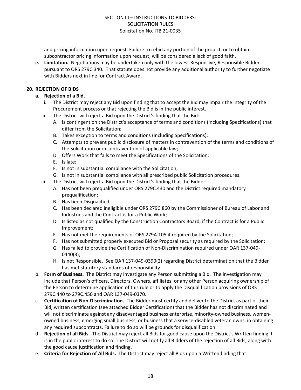and pricing information upon request. Failure to rebid any portion of the project, or to obtain subcontractor pricing information upon request, will be considered a lack of good faith.

**e. Limitation.** Negotiations may be undertaken only with the lowest Responsive, Responsible Bidder pursuant to ORS 279C.340. That statute does not provide any additional authority to further negotiate with Bidders next in line for Contract Award.

#### **20. REJECTION OF BIDS**

- **a. Rejection of a Bid.**
	- i. The District may reject any Bid upon finding that to accept the Bid may impair the integrity of the Procurement process or that rejecting the Bid is in the public interest.
	- ii. The District will reject a Bid upon the District's finding that the Bid:
		- A. Is contingent on the District's acceptance of terms and conditions (including Specifications) that differ from the Solicitation;
		- B. Takes exception to terms and conditions (including Specifications);
		- C. Attempts to prevent public disclosure of matters in contravention of the terms and conditions of the Solicitation or in contravention of applicable law;
		- D. Offers Work that fails to meet the Specifications of the Solicitation;
		- E. Is late;
		- F. Is not in substantial compliance with the Solicitation;
		- G. Is not in substantial compliance with all prescribed public Solicitation procedures.
	- iii. The District will reject a Bid upon the District's finding that the Bidder:
		- A. Has not been prequalified under ORS 279C.430 and the District required mandatory prequalification;
		- B. Has been Disqualified;
		- C. Has been declared ineligible under ORS 279C.860 by the Commissioner of Bureau of Labor and Industries and the Contract is for a Public Work;
		- D. Is listed as not qualified by the Construction Contractors Board, if the Contract is for a Public Improvement;
		- E. Has not met the requirements of ORS 279A.105 if required by the Solicitation;
		- F. Has not submitted properly executed Bid or Proposal security as required by the Solicitation;
		- G. Has failed to provide the Certification of Non-Discrimination required under OAR 137-049- 0440(3);
		- H. Is not Responsible. See OAR 137-049-0390(2) regarding District determination that the Bidder has met statutory standards of responsibility.
- b. **Form of Business.** The District may investigate any Person submitting a Bid. The investigation may include that Person's officers, Directors, Owners, affiliates, or any other Person acquiring ownership of the Person to determine application of this rule or to apply the Disqualification provisions of ORS 279C.440 to 279C.450 and OAR 137-049-0370.
- c. **Certification of Non-Discrimination.** The Bidder must certify and deliver to the District as part of their Bid, written certification (see attached Bidder Certification) that the Bidder has not discriminated and will not discriminate against any disadvantaged business enterprise, minority-owned business, womenowned business, emerging small business, or business that a service-disabled veteran owns, in obtaining any required subcontracts. Failure to do so will be grounds for disqualification.
- d. **Rejection of all Bids.** The District may reject all Bids for good cause upon the District's Written finding it is in the public interest to do so. The District will notify all Bidders of the rejection of all Bids, along with the good cause justification and finding.
- e. **Criteria for Rejection of All Bids.** The District may reject all Bids upon a Written finding that: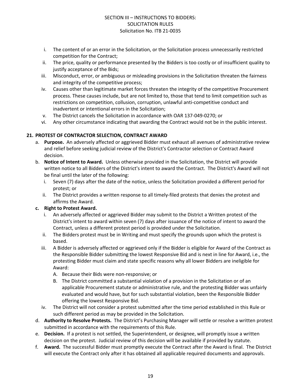- i. The content of or an error in the Solicitation, or the Solicitation process unnecessarily restricted competition for the Contract;
- ii. The price, quality or performance presented by the Bidders is too costly or of insufficient quality to justify acceptance of the Bids;
- iii. Misconduct, error, or ambiguous or misleading provisions in the Solicitation threaten the fairness and integrity of the competitive process;
- iv. Causes other than legitimate market forces threaten the integrity of the competitive Procurement process. These causes include, but are not limited to, those that tend to limit competition such as restrictions on competition, collusion, corruption, unlawful anti-competitive conduct and inadvertent or intentional errors in the Solicitation;
- v. The District cancels the Solicitation in accordance with OAR 137-049-0270; or
- vi. Any other circumstance indicating that awarding the Contract would not be in the public interest.

#### **21. PROTEST OF CONTRACTOR SELECTION, CONTRACT AWARD**

- a. **Purpose.** An adversely affected or aggrieved Bidder must exhaust all avenues of administrative review and relief before seeking judicial review of the District's Contractor selection or Contract Award decision.
- b. **Notice of Intent to Award.** Unless otherwise provided in the Solicitation, the District will provide written notice to all Bidders of the District's intent to award the Contract. The District's Award will not be final until the later of the following:
	- i. Seven (7) days after the date of the notice, unless the Solicitation provided a different period for protest; or
	- ii. The District provides a written response to all timely-filed protests that denies the protest and affirms the Award.

#### **c. Right to Protest Award.**

- i. An adversely affected or aggrieved Bidder may submit to the District a Written protest of the District's intent to award within seven (7) days after issuance of the notice of intent to award the Contract, unless a different protest period is provided under the Solicitation.
- ii. The Bidders protest must be in Writing and must specify the grounds upon which the protest is based.
- iii. A Bidder is adversely affected or aggrieved only if the Bidder is eligible for Award of the Contract as the Responsible Bidder submitting the lowest Responsive Bid and is next in line for Award, i.e., the protesting Bidder must claim and state specific reasons why all lower Bidders are ineligible for Award:
	- A. Because their Bids were non-responsive; or
	- B. The District committed a substantial violation of a provision in the Solicitation or of an applicable Procurement statute or administrative rule, and the protesting Bidder was unfairly evaluated and would have, but for such substantial violation, been the Responsible Bidder offering the lowest Responsive Bid.
- iv. The District will not consider a protest submitted after the time period established in this Rule or such different period as may be provided in the Solicitation.
- d. **Authority to Resolve Protests.** The District's Purchasing Manager will settle or resolve a written protest submitted in accordance with the requirements of this Rule.
- e. **Decision.** If a protest is not settled, the Superintendent, or designee, will promptly issue a written decision on the protest. Judicial review of this decision will be available if provided by statute.
- f. **Award.** The successful Bidder must promptly execute the Contract after the Award is final. The District will execute the Contract only after it has obtained all applicable required documents and approvals.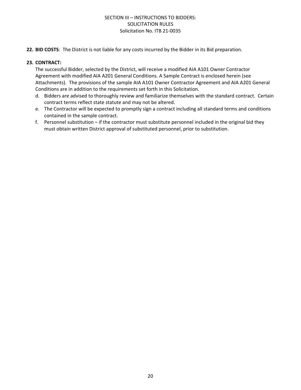**22. BID COSTS**: The District is not liable for any costs incurred by the Bidder in its Bid preparation.

#### **23. CONTRACT:**

The successful Bidder, selected by the District, will receive a modified AIA A101 Owner Contractor Agreement with modified AIA A201 General Conditions. A Sample Contract is enclosed herein (see Attachments). The provisions of the sample AIA A101 Owner Contractor Agreement and AIA A201 General Conditions are in addition to the requirements set forth in this Solicitation.

- d. Bidders are advised to thoroughly review and familiarize themselves with the standard contract. Certain contract terms reflect state statute and may not be altered.
- e. The Contractor will be expected to promptly sign a contract including all standard terms and conditions contained in the sample contract.
- f. Personnel substitution if the contractor must substitute personnel included in the original bid they must obtain written District approval of substituted personnel, prior to substitution.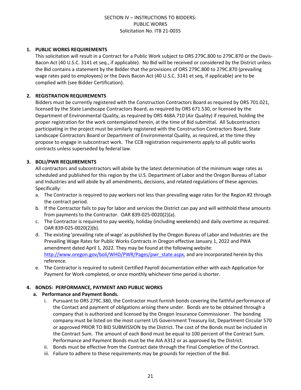#### **1. PUBLIC WORKS REQUIREMENTS**

This solicitation will result in a Contract for a Public Work subject to ORS 279C.800 to 279C.870 or the Davis-Bacon Act (40 U.S.C. 3141 et seq., if applicable). No Bid will be received or considered by the District unless the Bid contains a statement by the Bidder that the provisions of ORS 279C.800 to 279C.870 (prevailing wage rates paid to employees) or the Davis Bacon Act (40 U.S.C. 3141 et seq, if applicable) are to be complied with (see Bidder Certification).

#### **2. REGISTRATION REQUIREMENTS**

Bidders must be currently registered with the Construction Contractors Board as required by ORS 701.021, licensed by the State Landscape Contractors Board, as required by ORS 671.530, or licensed by the Department of Environmental Quality, as required by ORS 468A.710 (Air Quality) if required, holding the proper registration for the work contemplated herein, at the time of Bid submittal. All Subcontractors participating in the project must be similarly registered with the Construction Contractors Board, State Landscape Contractors Board or Department of Environmental Quality, as required, at the time they propose to engage in subcontract work. The CCB registration requirements apply to all public works contracts unless superseded by federal law.

#### **3. BOLI/PWR REQUIREMENTS**

All contractors and subcontractors will abide by the latest determination of the minimum wage rates as scheduled and published for this region by the U.S. Department of Labor and the Oregon Bureau of Labor and Industries and will abide by all amendments, decisions, and related regulations of these agencies. Specifically:

- a. The Contractor is required to pay workers not less than prevailing wage rates for the Region #2 through the contract period.
- b. If the Contractor fails to pay for labor and services the District can pay and will withhold these amounts from payments to the Contractor. OAR 839-025-0020(2)(a).
- c. The Contractor is required to pay weekly, holiday (including weekends) and daily overtime as required. OAR 839-025-0020(2)(b).
- d. The existing 'prevailing rate of wage' as published by the Oregon Bureau of Labor and Industries are the Prevailing Wage Rates for Public Works Contracts in Oregon effective January 1, 2022 and PWA amendment dated April 1, 2022. They may be found at the following website: [http://www.oregon.gov/boli/WHD/PWR/Pages/pwr\\_state.aspx](http://www.oregon.gov/boli/WHD/PWR/Pages/pwr_state.aspx), and are incorporated herein by this reference.
- e. The Contractor is required to submit Certified Payroll documentation either with each Application for Payment for Work completed, or once monthly whichever time period is shorter.

#### **4. BONDS: PERFORMANCE, PAYMENT AND PUBLIC WORKS**

#### **a. Performance and Payment Bonds.**

- i. Pursuant to ORS 279C.380, the Contractor must furnish bonds covering the faithful performance of the Contact and payment of obligations arising there under. Bonds are to be obtained through a company that is authorized and licensed by the Oregon Insurance Commissioner. The bonding company must be listed on the most current US Government Treasury list, Department Circular 570 or approved PRIOR TO BID SUBMISSION by the District. The cost of the Bonds must be included in the Contract Sum. The amount of each Bond must be equal to 100 percent of the Contract Sum. Performance and Payment Bonds must be the AIA A312 or as approved by the District.
- ii. Bonds must be effective from the Contract date through the Final Completion of the Contract.
- iii. Failure to adhere to these requirements may be grounds for rejection of the Bid.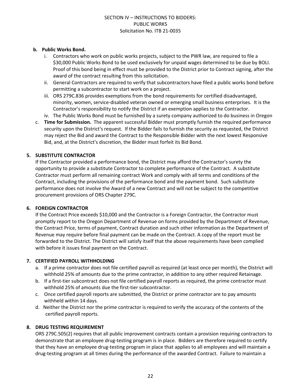#### **b. Public Works Bond.**

- i. Contractors who work on public works projects, subject to the PWR law, are required to file a \$30,000 Public Works Bond to be used exclusively for unpaid wages determined to be due by BOLI. Proof of this bond being in effect must be provided to the District prior to Contract signing, after the award of the contract resulting from this solicitation.
- ii. General Contractors are required to verify that subcontractors have filed a public works bond before permitting a subcontractor to start work on a project.
- iii. ORS 279C.836 provides exemptions from the bond requirements for certified disadvantaged, minority, women, service-disabled veteran owned or emerging small business enterprises. It is the Contractor's responsibility to notify the District if an exemption applies to the Contractor.
- iv. The Public Works Bond must be furnished by a surety company authorized to do business in Oregon
- c. **Time for Submission.** The apparent successful Bidder must promptly furnish the required performance security upon the District's request. If the Bidder fails to furnish the security as requested, the District may reject the Bid and award the Contract to the Responsible Bidder with the next lowest Responsive Bid, and, at the District's discretion, the Bidder must forfeit its Bid Bond.

#### **5. SUBSTITUTE CONTRACTOR**

If the Contractor provided a performance bond, the District may afford the Contractor's surety the opportunity to provide a substitute Contractor to complete performance of the Contract. A substitute Contractor must perform all remaining contract Work and comply with all terms and conditions of the Contract, including the provisions of the performance bond and the payment bond. Such substitute performance does not involve the Award of a new Contract and will not be subject to the competitive procurement provisions of ORS Chapter 279C.

#### **6. FOREIGN CONTRACTOR**

If the Contract Price exceeds \$10,000 and the Contractor is a Foreign Contractor, the Contractor must promptly report to the Oregon Department of Revenue on forms provided by the Department of Revenue, the Contract Price, terms of payment, Contract duration and such other information as the Department of Revenue may require before final payment can be made on the Contract. A copy of the report must be forwarded to the District. The District will satisfy itself that the above requirements have been complied with before it issues final payment on the Contract.

#### **7. CERTIFIED PAYROLL WITHHOLDING**

- a. If a prime contractor does not file certified payroll as required (at least once per month), the District will withhold 25% of amounts due to the prime contractor, in addition to any other required Retainage.
- b. If a first-tier subcontract does not file certified payroll reports as required, the prime contractor must withhold 25% of amounts due the first-tier subcontractor.
- c. Once certified payroll reports are submitted, the District or prime contractor are to pay amounts withheld within 14 days.
- d. Neither the District nor the prime contractor is required to verify the accuracy of the contents of the certified payroll reports.

#### **8. DRUG TESTING REQUIREMENT**

ORS 279C.505(2) requires that all public improvement contracts contain a provision requiring contractors to demonstrate that an employee drug-testing program is in place. Bidders are therefore required to certify that they have an employee drug-testing program in place that applies to all employees and will maintain a drug-testing program at all times during the performance of the awarded Contract. Failure to maintain a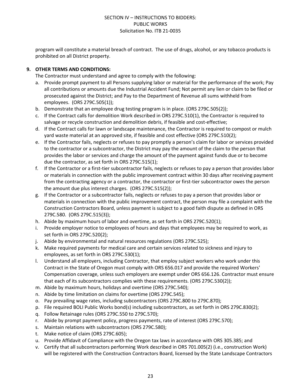program will constitute a material breach of contract. The use of drugs, alcohol, or any tobacco products is prohibited on all District property.

#### **9. OTHER TERMS AND CONDITIONS:**

The Contractor must understand and agree to comply with the following:

- a. Provide prompt payment to all Persons supplying labor or material for the performance of the work; Pay all contributions or amounts due the Industrial Accident Fund; Not permit any lien or claim to be filed or prosecuted against the District; and Pay to the Department of Revenue all sums withheld from employees. (ORS 279C.505(1));
- b. Demonstrate that an employee drug testing program is in place. (ORS 279C.505(2));
- c. If the Contract calls for demolition Work described in ORS 279C.510(1), the Contractor is required to salvage or recycle construction and demolition debris, if feasible and cost-effective;
- d. If the Contract calls for lawn or landscape maintenance, the Contractor is required to compost or mulch yard waste material at an approved site, if feasible and cost effective (ORS 279C.510(2);
- e. If the Contractor fails, neglects or refuses to pay promptly a person's claim for labor or services provided to the contractor or a subcontractor, the District may pay the amount of the claim to the person that provides the labor or services and charge the amount of the payment against funds due or to become due the contractor, as set forth in ORS 279C.515(1);
- f. If the Contractor or a first-tier subcontractor fails, neglects or refuses to pay a person that provides labor or materials in connection with the public improvement contract within 30 days after receiving payment from the contracting agency or a contractor, the contractor or first-tier subcontractor owes the person the amount due plus interest charges. (ORS 279C.515(2));
- g. If the Contractor or a subcontractor fails, neglects or refuses to pay a person that provides labor or materials in connection with the public improvement contract, the person may file a complaint with the Construction Contractors Board, unless payment is subject to a good faith dispute as defined in ORS 279C.580. (ORS 279C.515(3));
- h. Abide by maximum hours of labor and overtime, as set forth in ORS 279C.520(1);
- i. Provide employer notice to employees of hours and days that employees may be required to work, as set forth in ORS 279C.520(2);
- j. Abide by environmental and natural resources regulations (ORS 279C.525);
- k. Make required payments for medical care and certain services related to sickness and injury to employees, as set forth in ORS 279C.530(1);
- l. Understand all employers, including Contractor, that employ subject workers who work under this Contract in the State of Oregon must comply with ORS 656.017 and provide the required Workers' Compensation coverage, unless such employers are exempt under ORS 656.126. Contractor must ensure that each of its subcontractors complies with these requirements. (ORS 279C.530(2));
- m. Abide by maximum hours, holidays and overtime (ORS 279C.540);
- n. Abide by time limitation on claims for overtime (ORS 279C.545);
- o. Pay prevailing wage rates, including subcontractors (ORS 279C.800 to 279C.870);
- p. File required BOLI Public Works bond(s) including subcontractors, as set forth in ORS 279C.830(2);
- q. Follow Retainage rules (ORS 279C.550 to 279C.570);
- r. Abide by prompt payment policy, progress payments, rate of interest (ORS 279C.570);
- s. Maintain relations with subcontractors (ORS 279C.580);
- t. Make notice of claim (ORS 279C.605);
- u. Provide Affidavit of Compliance with the Oregon tax laws in accordance with ORS 305.385; and
- v. Certify that all subcontractors performing Work described in ORS 701.005(2) (i.e., construction Work) will be registered with the Construction Contractors Board, licensed by the State Landscape Contractors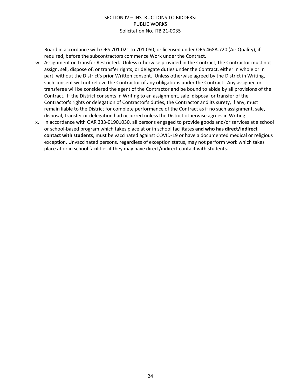Board in accordance with ORS 701.021 to 701.050, or licensed under ORS 468A.720 (Air Quality), if required, before the subcontractors commence Work under the Contract.

- w. Assignment or Transfer Restricted. Unless otherwise provided in the Contract, the Contractor must not assign, sell, dispose of, or transfer rights, or delegate duties under the Contract, either in whole or in part, without the District's prior Written consent. Unless otherwise agreed by the District in Writing, such consent will not relieve the Contractor of any obligations under the Contract. Any assignee or transferee will be considered the agent of the Contractor and be bound to abide by all provisions of the Contract. If the District consents in Writing to an assignment, sale, disposal or transfer of the Contractor's rights or delegation of Contractor's duties, the Contractor and its surety, if any, must remain liable to the District for complete performance of the Contract as if no such assignment, sale, disposal, transfer or delegation had occurred unless the District otherwise agrees in Writing.
- x. In accordance with OAR 333-01901030, all persons engaged to provide goods and/or services at a school or school-based program which takes place at or in school facilitates **and who has direct/indirect contact with students**, must be vaccinated against COVID-19 or have a documented medical or religious exception. Unvaccinated persons, regardless of exception status, may not perform work which takes place at or in school facilities if they may have direct/indirect contact with students.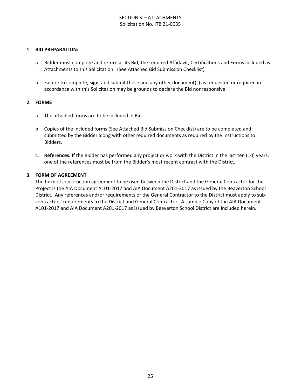#### SECTION V – ATTACHMENTS Solicitation No. ITB 21-0035

#### **1. BID PREPARATION:**

- a. Bidder must complete and return as its Bid, the required Affidavit, Certifications and Forms included as Attachments to this Solicitation. (See Attached Bid Submission Checklist)
- b. Failure to complete, **sign**, and submit these and any other document(s) as requested or required in accordance with this Solicitation may be grounds to declare the Bid nonresponsive.

#### **2. FORMS**

- a. The attached forms are to be included in Bid.
- b. Copies of the included forms (See Attached Bid Submission Checklist) are to be completed and submitted by the Bidder along with other required documents as required by the Instructions to Bidders.
- c. **References.** If the Bidder has performed any project or work with the District in the last ten (10) years, one of the references must be from the Bidder's most recent contract with the District.

#### **3. FORM OF AGREEMENT**

The form of construction agreement to be used between the District and the General Contractor for the Project is the AIA Document A101-2017 and AIA Document A201-2017 as issued by the Beaverton School District. Any references and/or requirements of the General Contractor to the District must apply to subcontractors' requirements to the District and General Contractor. A sample Copy of the AIA Document A101-2017 and AIA Document A201-2017 as issued by Beaverton School District are included herein.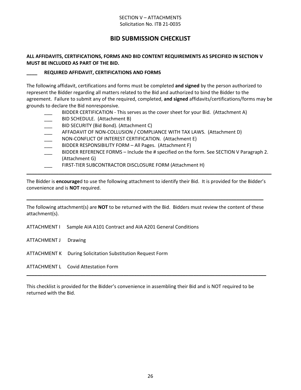#### SECTION V – ATTACHMENTS Solicitation No. ITB 21-0035

# **BID SUBMISSION CHECKLIST**

#### **ALL AFFIDAVITS, CERTIFICATIONS, FORMS AND BID CONTENT REQUIREMENTS AS SPECIFIED IN SECTION V MUST BE INCLUDED AS PART OF THE BID.**

#### **\_\_\_\_ REQUIRED AFFIDAVIT, CERTIFICATIONS AND FORMS**

The following affidavit, certifications and forms must be completed **and signed** by the person authorized to represent the Bidder regarding all matters related to the Bid and authorized to bind the Bidder to the agreement. Failure to submit any of the required, completed, **and signed** affidavits/certifications/forms may be grounds to declare the Bid nonresponsive.

- BIDDER CERTIFICATION This serves as the cover sheet for your Bid. (Attachment A)
- BID SCHEDULE. (Attachment B)
- BID SECURITY (Bid Bond). (Attachment C)
- AFFADAVIT OF NON-COLLUSION / COMPLIANCE WITH TAX LAWS. (Attachment D)
- NON-CONFLICT OF INTEREST CERTIFICATION. (Attachment E)
- BIDDER RESPONSIBILITY FORM All Pages. (Attachment F)
- BIDDER REFERENCE FORMS Include the # specified on the form. See SECTION V Paragraph 2. (Attachment G)
- FIRST-TIER SUBCONTRACTOR DISCLOSURE FORM (Attachment H)

The Bidder is **encourage**d to use the following attachment to identify their Bid. It is provided for the Bidder's convenience and is **NOT** required.

**\_\_\_\_\_\_\_\_\_\_\_\_\_\_\_\_\_\_\_\_\_\_\_\_\_\_\_\_\_\_\_\_\_\_\_\_\_\_\_\_\_\_\_\_\_\_\_\_\_\_\_\_\_\_\_\_\_\_\_\_\_\_\_\_\_\_\_\_\_\_\_\_\_\_\_\_\_\_\_\_\_\_\_\_\_\_\_\_\_\_\_**

The following attachment(s) are **NOT** to be returned with the Bid. Bidders must review the content of these attachment(s).

**\_\_\_\_\_\_\_\_\_\_\_\_\_\_\_\_\_\_\_\_\_\_\_\_\_\_\_\_\_\_\_\_\_\_\_\_\_\_\_\_\_\_\_\_\_\_\_\_\_\_\_\_\_\_\_\_\_\_\_\_\_\_\_\_\_\_\_\_\_\_\_\_\_\_\_\_\_\_\_\_\_\_\_\_\_\_\_\_**

ATTACHMENT I Sample AIA A101 Contract and AIA A201 General Conditions

ATTACHMENT J Drawing

ATTACHMENT K During Solicitation Substitution Request Form

ATTACHMENT L Covid Attestation Form

This checklist is provided for the Bidder's convenience in assembling their Bid and is NOT required to be returned with the Bid.

**\_\_\_\_\_\_\_\_\_\_\_\_\_\_\_\_\_\_\_\_\_\_\_\_\_\_\_\_\_\_\_\_\_\_\_\_\_\_\_\_\_\_\_\_\_\_\_\_\_\_\_\_\_\_\_\_\_\_\_\_\_\_\_\_\_\_\_\_\_\_\_\_\_\_\_\_\_\_\_\_\_\_\_\_\_\_\_\_\_**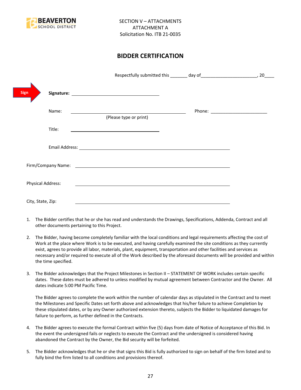

# **BIDDER CERTIFICATION**

| <b>Sign</b>       |                                                                                                                                                                                                                                |                                      |
|-------------------|--------------------------------------------------------------------------------------------------------------------------------------------------------------------------------------------------------------------------------|--------------------------------------|
| Name:             | <u> 1989 - Johann Stoff, deutscher Stoffen und der Stoffen und der Stoffen und der Stoffen und der Stoffen und der</u><br>(Please type or print)                                                                               | Phone: _____________________________ |
| Title:            |                                                                                                                                                                                                                                |                                      |
|                   |                                                                                                                                                                                                                                |                                      |
|                   | Firm/Company Name: The company of the company of the company of the company of the company of the company of the company of the company of the company of the company of the company of the company of the company of the comp |                                      |
| Physical Address: |                                                                                                                                                                                                                                |                                      |
| City, State, Zip: |                                                                                                                                                                                                                                |                                      |

- 1. The Bidder certifies that he or she has read and understands the Drawings, Specifications, Addenda, Contract and all other documents pertaining to this Project.
- 2. The Bidder, having become completely familiar with the local conditions and legal requirements affecting the cost of Work at the place where Work is to be executed, and having carefully examined the site conditions as they currently exist, agrees to provide all labor, materials, plant, equipment, transportation and other facilities and services as necessary and/or required to execute all of the Work described by the aforesaid documents will be provided and within the time specified.
- 3. The Bidder acknowledges that the Project Milestones in Section II STATEMENT OF WORK includes certain specific dates. These dates must be adhered to unless modified by mutual agreement between Contractor and the Owner. All dates indicate 5:00 PM Pacific Time.

The Bidder agrees to complete the work within the number of calendar days as stipulated in the Contract and to meet the Milestones and Specific Dates set forth above and acknowledges that his/her failure to achieve Completion by these stipulated dates, or by any Owner authorized extension thereto, subjects the Bidder to liquidated damages for failure to perform, as further defined in the Contracts.

- 4. The Bidder agrees to execute the formal Contract within five (5) days from date of Notice of Acceptance of this Bid. In the event the undersigned fails or neglects to execute the Contract and the undersigned is considered having abandoned the Contract by the Owner, the Bid security will be forfeited.
- 5. The Bidder acknowledges that he or she that signs this Bid is fully authorized to sign on behalf of the firm listed and to fully bind the firm listed to all conditions and provisions thereof.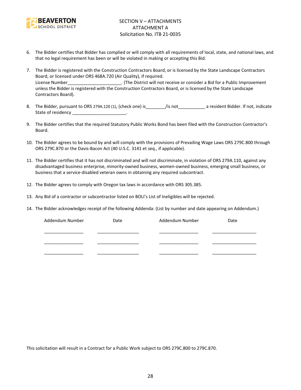

- 6. The Bidder certifies that Bidder has complied or will comply with all requirements of local, state, and national laws, and that no legal requirement has been or will be violated in making or accepting this Bid.
- 7. The Bidder is registered with the Construction Contractors Board, or is licensed by the State Landscape Contractors Board, or licensed under ORS 468A.720 (Air Quality), if required. License Number\_\_\_\_\_\_\_\_\_\_\_\_\_\_\_\_\_\_\_\_\_\_\_\_. (The District will not receive or consider a Bid for a Public Improvement unless the Bidder is registered with the Construction Contractors Board, or is licensed by the State Landscape Contractors Board).
- 8. The Bidder, pursuant to ORS 279A.120 (1), (check one) is figure is figure to a resident Bidder. If not, indicate State of residency \_\_\_\_\_\_\_\_\_\_\_\_\_\_\_\_\_\_\_\_\_\_\_\_.
- 9. The Bidder certifies that the required Statutory Public Works Bond has been filed with the Construction Contractor's Board.
- 10. The Bidder agrees to be bound by and will comply with the provisions of Prevailing Wage Laws ORS 279C.800 through ORS 279C.870 or the Davis-Bacon Act (40 U.S.C. 3141 et seq., if applicable).
- 11. The Bidder certifies that it has not discriminated and will not discriminate, in violation of ORS 279A.110, against any disadvantaged business enterprise, minority-owned business, women-owned business, emerging small business, or business that a service-disabled veteran owns in obtaining any required subcontract.
- 12. The Bidder agrees to comply with Oregon tax laws in accordance with ORS 305.385.
- 13. Any Bid of a contractor or subcontractor listed on BOLI's List of Ineligibles will be rejected.
- 14. The Bidder acknowledges receipt of the following Addenda: (List by number and date appearing on Addendum.)

| Addendum Number | Date | Addendum Number | Date |
|-----------------|------|-----------------|------|
|                 |      |                 |      |
|                 |      |                 |      |
|                 |      |                 |      |
|                 |      |                 |      |
|                 |      |                 |      |

This solicitation will result in a Contract for a Public Work subject to ORS 279C.800 to 279C.870.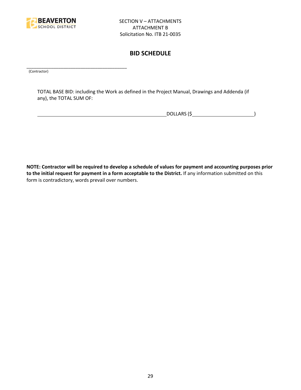

# **BID SCHEDULE**

\_\_\_\_\_\_\_\_\_\_\_\_\_\_\_\_\_\_\_\_\_\_\_\_\_\_\_\_\_\_\_\_\_\_\_\_\_\_\_\_\_ (Contractor)

TOTAL BASE BID: including the Work as defined in the Project Manual, Drawings and Addenda (if any), the TOTAL SUM OF:

DOLLARS (\$ )

**NOTE: Contractor will be required to develop a schedule of values for payment and accounting purposes prior to the initial request for payment in a form acceptable to the District.** If any information submitted on this form is contradictory, words prevail over numbers.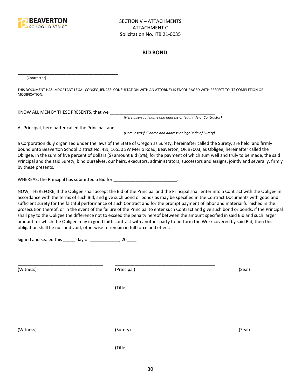

#### **BID BOND**

(Contractor)

THIS DOCUMENT HAS IMPORTANT LEGAL CONSEQUENCES: CONSULTATION WITH AN ATTORNEY IS ENCOURAGED WITH RESPECT TO ITS COMPLETION OR MODIFICATION.

KNOW ALL MEN BY THESE PRESENTS, that we \_\_\_\_\_\_\_\_\_\_\_\_\_\_\_\_\_\_\_\_\_\_\_\_\_\_\_\_\_\_\_\_\_\_\_\_\_\_\_\_\_\_\_

*(Here insert full name and address or legal title of Contractor)*

As Principal, hereinafter called the Principal, and \_\_\_\_\_\_\_\_\_\_\_\_\_\_\_\_\_\_\_\_\_\_\_\_\_\_\_\_

\_\_\_\_\_\_\_\_\_\_\_\_\_\_\_\_\_\_\_\_\_\_\_\_\_\_\_\_\_\_\_\_\_\_\_\_\_\_\_\_\_

*(Here insert full name and address or legal title of Surety)*

a Corporation duly organized under the laws of the State of Oregon as Surety, hereinafter called the Surety, are held and firmly bound unto Beaverton School District No. 48J, 16550 SW Merlo Road, Beaverton, OR 97003, as Obligee, hereinafter called the Obligee, in the sum of five percent of dollars (\$) amount Bid (5%), for the payment of which sum well and truly to be made, the said Principal and the said Surety, bind ourselves, our heirs, executors, administrators, successors and assigns, jointly and severally, firmly by these presents.

WHEREAS, the Principal has submitted a Bid for \_\_\_\_\_\_\_\_\_\_\_\_\_\_\_\_\_\_\_\_\_\_\_\_\_\_\_\_\_.

NOW, THEREFORE, if the Obligee shall accept the Bid of the Principal and the Principal shall enter into a Contract with the Obligee in accordance with the terms of such Bid, and give such bond or bonds as may be specified in the Contract Documents with good and sufficient surety for the faithful performance of such Contract and for the prompt payment of labor and material furnished in the prosecution thereof, or in the event of the failure of the Principal to enter such Contract and give such bond or bonds, if the Principal shall pay to the Obligee the difference not to exceed the penalty hereof between the amount specified in said Bid and such larger amount for which the Obligee may in good faith contract with another party to perform the Work covered by said Bid, then this obligation shall be null and void, otherwise to remain in full force and effect.

\_\_\_\_\_\_\_\_\_\_\_\_\_\_\_\_\_\_\_\_\_\_\_\_\_\_\_\_\_\_\_\_\_\_\_\_\_\_\_\_\_

\_\_\_\_\_\_\_\_\_\_\_\_\_\_\_\_\_\_\_\_\_\_\_\_\_\_\_\_\_\_\_\_\_\_\_\_\_\_\_\_\_

Signed and sealed this \_\_\_\_\_ day of \_\_\_\_\_\_\_\_\_\_\_\_, 20\_\_\_\_.

(Witness) (Principal) (Seal)

(Title)

\_\_\_\_\_\_\_\_\_\_\_\_\_\_\_\_\_\_\_\_\_\_\_\_\_\_\_\_\_\_\_\_\_\_\_ \_\_\_\_\_\_\_\_\_\_\_\_\_\_\_\_\_\_\_\_\_\_\_\_\_\_\_\_\_\_\_\_\_\_\_\_\_\_\_\_\_

(Witness) (Surety) (Seal)

\_\_\_\_\_\_\_\_\_\_\_\_\_\_\_\_\_\_\_\_\_\_\_\_\_\_\_\_\_\_\_\_\_\_\_ \_\_\_\_\_\_\_\_\_\_\_\_\_\_\_\_\_\_\_\_\_\_\_\_\_\_\_\_\_\_\_\_\_\_\_\_\_\_\_\_\_

(Title)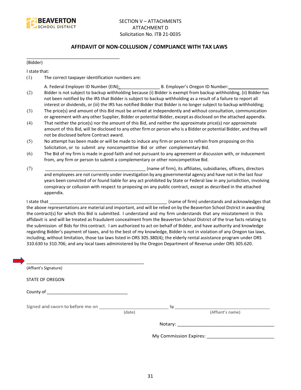

#### **AFFIDAVIT OF NON-COLLUSION / COMPLIANCE WITH TAX LAWS**

(Bidder)

I state that:

(1) The correct taxpayer identification numbers are:

\_\_\_\_\_\_\_\_\_\_\_\_\_\_\_\_\_\_\_\_\_\_\_\_\_\_\_\_\_\_\_\_\_\_\_\_\_\_

- A. Federal Employer ID Number (EIN): \_\_\_\_\_\_\_\_\_\_\_\_\_\_\_\_ B. Employer's Oregon ID Number: \_\_\_\_\_\_\_\_\_\_\_\_\_\_\_\_
- (2) Bidder is not subject to backup withholding because (i) Bidder is exempt from backup withholding, (ii) Bidder has not been notified by the IRS that Bidder is subject to backup withholding as a result of a failure to report all interest or dividends, or (iii) the IRS has notified Bidder that Bidder is no longer subject to backup withholding;
- (3) The price(s) and amount of this Bid must be arrived at independently and without consultation, communication or agreement with any other Supplier, Bidder or potential Bidder, except as disclosed on the attached appendix.
- (4) That neither the price(s) nor the amount of this Bid, and neither the approximate price(s) nor approximate amount of this Bid, will be disclosed to any other firm or person who is a Bidder or potential Bidder, and they will not be disclosed before Contract award.
- (5) No attempt has been made or will be made to induce any firm or person to refrain from proposing on this Solicitation, or to submit any noncompetitive Bid or other complementary Bid.
- (6) The Bid of my firm is made in good faith and not pursuant to any agreement or discussion with, or inducement from, any firm or person to submit a complementary or other noncompetitive Bid.
- (7) \_\_\_\_\_\_\_\_\_\_\_\_\_\_\_\_\_\_\_\_\_\_\_\_\_\_\_\_\_\_\_\_\_\_\_\_\_\_\_\_\_ (name of firm), its affiliates, subsidiaries, officers, directors and employees are not currently under investigation by any governmental agency and have not in the last four years been convicted of or found liable for any act prohibited by State or Federal law in any jurisdiction, involving conspiracy or collusion with respect to proposing on any public contract, except as described in the attached appendix.

I state that **I state that**  $\blacksquare$  (name of firm) understands and acknowledges that the above representations are material and important, and will be relied on by the Beaverton School District in awarding the contract(s) for which this Bid is submitted. I understand and my firm understands that any misstatement in this affidavit is and will be treated as fraudulent concealment from the Beaverton School District of the true facts relating to the submission of Bids for this contract. I am authorized to act on behalf of Bidder, and have authority and knowledge regarding Bidder's payment of taxes, and to the best of my knowledge, Bidder is not in violation of any Oregon tax laws, including, without limitation, those tax laws listed in ORS 305.380(4); the elderly rental assistance program under ORS 310.630 to 310.706; and any local taxes administered by the Oregon Department of Revenue under ORS 305.620.

| (Affiant's Signature)                                                                                                                                                                                                          |        |    |                  |
|--------------------------------------------------------------------------------------------------------------------------------------------------------------------------------------------------------------------------------|--------|----|------------------|
| <b>STATE OF OREGON</b>                                                                                                                                                                                                         |        |    |                  |
| County of the country of the country of the country of the country of the country of the country of the country of the country of the country of the country of the country of the country of the country of the country of th |        |    |                  |
| Signed and sworn to before me on                                                                                                                                                                                               |        | by |                  |
|                                                                                                                                                                                                                                | (date) |    | (Affiant's name) |
|                                                                                                                                                                                                                                |        |    |                  |
|                                                                                                                                                                                                                                |        |    |                  |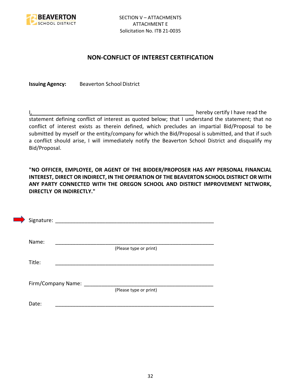

### **NON-CONFLICT OF INTEREST CERTIFICATION**

**Issuing Agency:** Beaverton School District

I, the contract of the contract of the contract of the contract of the hereby certify I have read the statement defining conflict of interest as quoted below; that I understand the statement; that no conflict of interest exists as therein defined, which precludes an impartial Bid/Proposal to be submitted by myself or the entity/company for which the Bid/Proposal is submitted, and that if such a conflict should arise, I will immediately notify the Beaverton School District and disqualify my Bid/Proposal.

**"NO OFFICER, EMPLOYEE, OR AGENT OF THE BIDDER/PROPOSER HAS ANY PERSONAL FINANCIAL INTEREST, DIRECT OR INDIRECT, IN THE OPERATION OF THE BEAVERTON SCHOOL DISTRICT OR WITH ANY PARTY CONNECTED WITH THE OREGON SCHOOL AND DISTRICT IMPROVEMENT NETWORK, DIRECTLY OR INDIRECTLY."**

| Signature: |                      |                        |  |  |
|------------|----------------------|------------------------|--|--|
| Name:      |                      |                        |  |  |
|            |                      | (Please type or print) |  |  |
| Title:     |                      |                        |  |  |
|            |                      |                        |  |  |
|            | Firm/Company Name: _ |                        |  |  |
|            |                      | (Please type or print) |  |  |
| Date:      |                      |                        |  |  |
|            |                      |                        |  |  |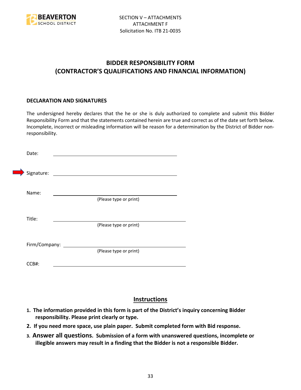

# **BIDDER RESPONSIBILITY FORM (CONTRACTOR'S QUALIFICATIONS AND FINANCIAL INFORMATION)**

#### **DECLARATION AND SIGNATURES**

The undersigned hereby declares that the he or she is duly authorized to complete and submit this Bidder Responsibility Form and that the statements contained herein are true and correct as of the date set forth below. Incomplete, incorrect or misleading information will be reason for a determination by the District of Bidder nonresponsibility.

| Date:      |                   |                        |  |
|------------|-------------------|------------------------|--|
| Signature: |                   |                        |  |
| Name:      |                   |                        |  |
|            |                   | (Please type or print) |  |
| Title:     |                   |                        |  |
|            |                   | (Please type or print) |  |
|            | Firm/Company: ___ |                        |  |
|            |                   | (Please type or print) |  |
| CCB#:      |                   |                        |  |

# **Instructions**

- **1. The information provided in this form is part of the District's inquiry concerning Bidder responsibility. Please print clearly or type.**
- **2. If you need more space, use plain paper. Submit completed form with Bid response.**
- **3. Answer all questions. Submission of a form with unanswered questions, incomplete or illegible answers may result in a finding that the Bidder is not a responsible Bidder.**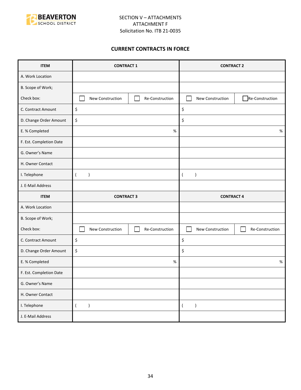

#### **CURRENT CONTRACTS IN FORCE**

| <b>ITEM</b>             | <b>CONTRACT 1</b>               |                 | <b>CONTRACT 2</b>             |                 |
|-------------------------|---------------------------------|-----------------|-------------------------------|-----------------|
| A. Work Location        |                                 |                 |                               |                 |
| B. Scope of Work;       |                                 |                 |                               |                 |
| Check box:              | New Construction                | Re-Construction | New Construction              | Re-Construction |
| C. Contract Amount      | \$                              |                 | \$                            |                 |
| D. Change Order Amount  | \$                              |                 | \$                            |                 |
| E. % Completed          |                                 | $\%$            |                               | $\%$            |
| F. Est. Completion Date |                                 |                 |                               |                 |
| G. Owner's Name         |                                 |                 |                               |                 |
| H. Owner Contact        |                                 |                 |                               |                 |
| I. Telephone            | $\overline{(}$<br>$\mathcal{E}$ |                 | $\lambda$<br>$\overline{ }$   |                 |
| J. E-Mail Address       |                                 |                 |                               |                 |
|                         |                                 |                 | <b>CONTRACT 4</b>             |                 |
| <b>ITEM</b>             | <b>CONTRACT 3</b>               |                 |                               |                 |
| A. Work Location        |                                 |                 |                               |                 |
| B. Scope of Work;       |                                 |                 |                               |                 |
| Check box:              | New Construction                | Re-Construction | New Construction              | Re-Construction |
| C. Contract Amount      | \$                              |                 | \$                            |                 |
| D. Change Order Amount  | \$                              |                 | \$                            |                 |
| E. % Completed          |                                 | $\%$            |                               | $\%$            |
| F. Est. Completion Date |                                 |                 |                               |                 |
| G. Owner's Name         |                                 |                 |                               |                 |
| H. Owner Contact        |                                 |                 |                               |                 |
| I. Telephone            | $\overline{(\ }$<br>$\lambda$   |                 | $\lambda$<br>$\overline{(\ }$ |                 |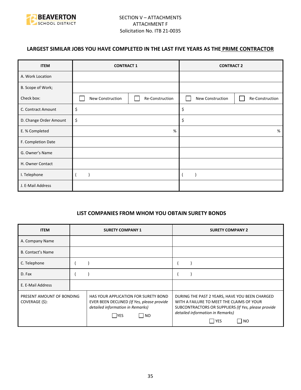

## **LARGEST SIMILAR JOBS YOU HAVE COMPLETED IN THE LAST FIVE YEARS AS THE PRIME CONTRACTOR**

| <b>ITEM</b>            | <b>CONTRACT 1</b> |                 |                  |                 | <b>CONTRACT 2</b> |  |
|------------------------|-------------------|-----------------|------------------|-----------------|-------------------|--|
| A. Work Location       |                   |                 |                  |                 |                   |  |
| B. Scope of Work;      |                   |                 |                  |                 |                   |  |
| Check box:             | New Construction  | Re-Construction | New Construction | Re-Construction |                   |  |
| C. Contract Amount     | \$                |                 | \$               |                 |                   |  |
| D. Change Order Amount | \$                |                 | \$               |                 |                   |  |
| E. % Completed         | %                 |                 |                  | %               |                   |  |
| F. Completion Date     |                   |                 |                  |                 |                   |  |
| G. Owner's Name        |                   |                 |                  |                 |                   |  |
| H. Owner Contact       |                   |                 |                  |                 |                   |  |
| I. Telephone           |                   |                 |                  |                 |                   |  |
| J. E-Mail Address      |                   |                 |                  |                 |                   |  |

#### **LIST COMPANIES FROM WHOM YOU OBTAIN SURETY BONDS**

| <b>ITEM</b>                                 | <b>SURETY COMPANY 1</b>                                                                                                                | <b>SURETY COMPANY 2</b>                                                                                                                                                                                 |
|---------------------------------------------|----------------------------------------------------------------------------------------------------------------------------------------|---------------------------------------------------------------------------------------------------------------------------------------------------------------------------------------------------------|
| A. Company Name                             |                                                                                                                                        |                                                                                                                                                                                                         |
| <b>B. Contact's Name</b>                    |                                                                                                                                        |                                                                                                                                                                                                         |
| C. Telephone                                |                                                                                                                                        |                                                                                                                                                                                                         |
| D. Fax                                      |                                                                                                                                        |                                                                                                                                                                                                         |
| E. E-Mail Address                           |                                                                                                                                        |                                                                                                                                                                                                         |
| PRESENT AMOUNT OF BONDING<br>COVERAGE (\$): | HAS YOUR APPLICATION FOR SURETY BOND<br>EVER BEEN DECLINED (If Yes, please provide<br>detailed information in Remarks)<br>  NO<br> YES | DURING THE PAST 2 YEARS, HAVE YOU BEEN CHARGED<br>WITH A FAILURE TO MEET THE CLAIMS OF YOUR<br>SUBCONTRACTORS OR SUPPLIERS (If Yes, please provide<br>detailed information in Remarks)<br>l YES<br>I NO |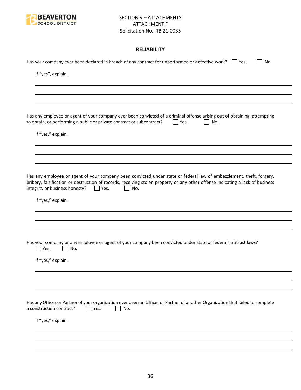

### **RELIABILITY**

| Has your company ever been declared in breach of any contract for unperformed or defective work? $\Box$ Yes.<br>No.                                                                                                                                                                                           |
|---------------------------------------------------------------------------------------------------------------------------------------------------------------------------------------------------------------------------------------------------------------------------------------------------------------|
| If "yes", explain.                                                                                                                                                                                                                                                                                            |
|                                                                                                                                                                                                                                                                                                               |
|                                                                                                                                                                                                                                                                                                               |
| Has any employee or agent of your company ever been convicted of a criminal offense arising out of obtaining, attempting<br>to obtain, or performing a public or private contract or subcontract?<br>Yes.<br>No.                                                                                              |
| If "yes," explain.                                                                                                                                                                                                                                                                                            |
|                                                                                                                                                                                                                                                                                                               |
|                                                                                                                                                                                                                                                                                                               |
| Has any employee or agent of your company been convicted under state or federal law of embezzlement, theft, forgery,<br>bribery, falsification or destruction of records, receiving stolen property or any other offense indicating a lack of business<br>integrity or business honesty?<br>$ $   Yes.<br>No. |
| If "yes," explain.                                                                                                                                                                                                                                                                                            |
|                                                                                                                                                                                                                                                                                                               |
|                                                                                                                                                                                                                                                                                                               |
| Has your company or any employee or agent of your company been convicted under state or federal antitrust laws?<br>Yes.<br>No.                                                                                                                                                                                |
| If "yes," explain.                                                                                                                                                                                                                                                                                            |
|                                                                                                                                                                                                                                                                                                               |
|                                                                                                                                                                                                                                                                                                               |
| Has any Officer or Partner of your organization ever been an Officer or Partner of another Organization that failed to complete<br>a construction contract?<br>Yes.<br>No.                                                                                                                                    |
| If "yes," explain.                                                                                                                                                                                                                                                                                            |
|                                                                                                                                                                                                                                                                                                               |
|                                                                                                                                                                                                                                                                                                               |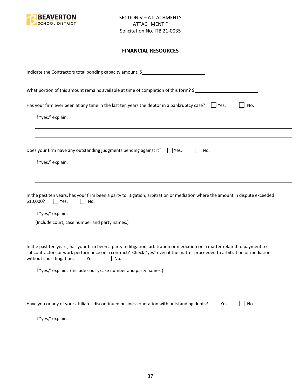

#### **FINANCIAL RESOURCES**

| Indicate the Contractors total bonding capacity amount: \$                                                                                                                                                                                                                                                                                                                |
|---------------------------------------------------------------------------------------------------------------------------------------------------------------------------------------------------------------------------------------------------------------------------------------------------------------------------------------------------------------------------|
| What portion of this amount remains available at time of completion of this form? \$                                                                                                                                                                                                                                                                                      |
| Has your firm ever been at any time in the last ten years the debtor in a bankruptcy case? $\Box$ Yes.<br>No.                                                                                                                                                                                                                                                             |
| If "yes," explain.                                                                                                                                                                                                                                                                                                                                                        |
|                                                                                                                                                                                                                                                                                                                                                                           |
| Does your firm have any outstanding judgments pending against it? $\Box$ Yes.<br>No.<br>If "yes," explain.                                                                                                                                                                                                                                                                |
| In the past ten years, has your firm been a party to litigation, arbitration or mediation where the amount in dispute exceeded<br>\$10,000?<br>Yes.<br>No.<br>If "yes," explain.                                                                                                                                                                                          |
| In the past ten years, has your firm been a party to litigation, arbitration or mediation on a matter related to payment to<br>subcontractors or work performance on a contract? Check "yes" even if the matter proceeded to arbitration or mediation<br>without court litigation. $\Box$ Yes.<br>No.<br>If "yes," explain. (Include court, case number and party names.) |
|                                                                                                                                                                                                                                                                                                                                                                           |
| Have you or any of your affiliates discontinued business operation with outstanding debts?<br>No.<br>Yes.                                                                                                                                                                                                                                                                 |
| If "yes," explain.                                                                                                                                                                                                                                                                                                                                                        |
|                                                                                                                                                                                                                                                                                                                                                                           |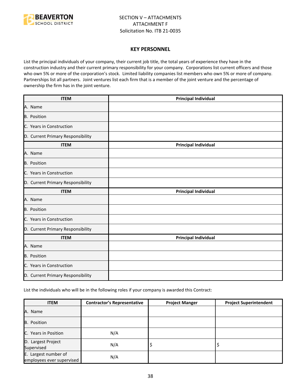

#### **KEY PERSONNEL**

List the principal individuals of your company, their current job title, the total years of experience they have in the construction industry and their current primary responsibility for your company. Corporations list current officers and those who own 5% or more of the corporation's stock. Limited liability companies list members who own 5% or more of company. Partnerships list all partners. Joint ventures list each firm that is a member of the joint venture and the percentage of ownership the firm has in the joint venture.

| <b>ITEM</b>                       | <b>Principal Individual</b> |
|-----------------------------------|-----------------------------|
| A. Name                           |                             |
| B. Position                       |                             |
| C. Years in Construction          |                             |
| D. Current Primary Responsibility |                             |
| <b>ITEM</b>                       | <b>Principal Individual</b> |
| A. Name                           |                             |
| <b>B.</b> Position                |                             |
| C. Years in Construction          |                             |
| D. Current Primary Responsibility |                             |
| <b>ITEM</b>                       | <b>Principal Individual</b> |
| A. Name                           |                             |
| <b>B.</b> Position                |                             |
| C. Years in Construction          |                             |
| D. Current Primary Responsibility |                             |
| <b>ITEM</b>                       | <b>Principal Individual</b> |
| A. Name                           |                             |
| B. Position                       |                             |
| C. Years in Construction          |                             |
| D. Current Primary Responsibility |                             |

List the individuals who will be in the following roles if your company is awarded this Contract:

| <b>ITEM</b>                                       | <b>Contractor's Representative</b> | <b>Project Manger</b> | <b>Project Superintendent</b> |
|---------------------------------------------------|------------------------------------|-----------------------|-------------------------------|
| A. Name                                           |                                    |                       |                               |
| B. Position                                       |                                    |                       |                               |
| C. Years in Position                              | N/A                                |                       |                               |
| D. Largest Project<br>Supervised                  | N/A                                | ₽                     |                               |
| E. Largest number of<br>employees ever supervised | N/A                                |                       |                               |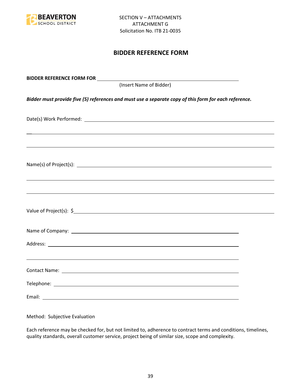

## **BIDDER REFERENCE FORM**

| (Insert Name of Bidder)                                                                               |  |
|-------------------------------------------------------------------------------------------------------|--|
| Bidder must provide five (5) references and must use a separate copy of this form for each reference. |  |
|                                                                                                       |  |
|                                                                                                       |  |
|                                                                                                       |  |
| ,我们也不能会有一个人的事情。""我们的人,我们也不能会有一个人的人,我们也不能会有一个人的人,我们也不能会有一个人的人,我们也不能会有一个人的人,我们也不能会                      |  |
|                                                                                                       |  |
|                                                                                                       |  |
|                                                                                                       |  |
| ,我们也不会有什么。""我们的人,我们也不会有什么?""我们的人,我们也不会有什么?""我们的人,我们也不会有什么?""我们的人,我们也不会有什么?""我们的人                      |  |
|                                                                                                       |  |
|                                                                                                       |  |

Method: Subjective Evaluation

Each reference may be checked for, but not limited to, adherence to contract terms and conditions, timelines, quality standards, overall customer service, project being of similar size, scope and complexity.